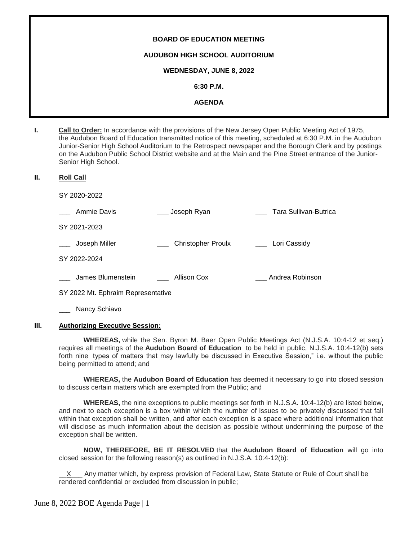# **BOARD OF EDUCATION MEETING AUDUBON HIGH SCHOOL AUDITORIUM WEDNESDAY, JUNE 8, 2022 6:30 P.M. AGENDA**

**I. Call to Order:** In accordance with the provisions of the New Jersey Open Public Meeting Act of 1975, the Audubon Board of Education transmitted notice of this meeting, scheduled at 6:30 P.M. in the Audubon Junior-Senior High School Auditorium to the Retrospect newspaper and the Borough Clerk and by postings on the Audubon Public School District website and at the Main and the Pine Street entrance of the Junior-Senior High School.

#### **II. Roll Call**

SY 2020-2022

| Ammie Davis       | Joseph Ryan               | Tara Sullivan-Butrica |
|-------------------|---------------------------|-----------------------|
| SY 2021-2023      |                           |                       |
| Joseph Miller     | <b>Christopher Proulx</b> | Lori Cassidy          |
| SY 2022-2024      |                           |                       |
| James Blumenstein | Allison Cox               | Andrea Robinson       |

SY 2022 Mt. Ephraim Representative

Nancy Schiavo

# **III. Authorizing Executive Session:**

**WHEREAS,** while the Sen. Byron M. Baer Open Public Meetings Act (N.J.S.A. 10:4-12 et seq.) requires all meetings of the **Audubon Board of Education** to be held in public, N.J.S.A. 10:4-12(b) sets forth nine types of matters that may lawfully be discussed in Executive Session," i.e. without the public being permitted to attend; and

**WHEREAS,** the **Audubon Board of Education** has deemed it necessary to go into closed session to discuss certain matters which are exempted from the Public; and

**WHEREAS,** the nine exceptions to public meetings set forth in N.J.S.A. 10:4-12(b) are listed below, and next to each exception is a box within which the number of issues to be privately discussed that fall within that exception shall be written, and after each exception is a space where additional information that will disclose as much information about the decision as possible without undermining the purpose of the exception shall be written.

**NOW, THEREFORE, BE IT RESOLVED** that the **Audubon Board of Education** will go into closed session for the following reason(s) as outlined in N.J.S.A. 10:4-12(b):

Any matter which, by express provision of Federal Law, State Statute or Rule of Court shall be rendered confidential or excluded from discussion in public;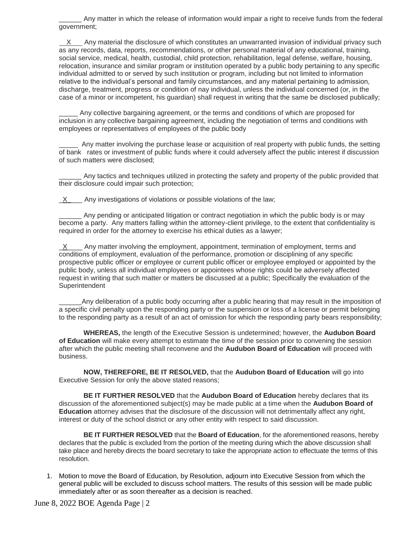\_\_\_\_\_\_ Any matter in which the release of information would impair a right to receive funds from the federal government;

 X Any material the disclosure of which constitutes an unwarranted invasion of individual privacy such as any records, data, reports, recommendations, or other personal material of any educational, training, social service, medical, health, custodial, child protection, rehabilitation, legal defense, welfare, housing, relocation, insurance and similar program or institution operated by a public body pertaining to any specific individual admitted to or served by such institution or program, including but not limited to information relative to the individual's personal and family circumstances, and any material pertaining to admission, discharge, treatment, progress or condition of nay individual, unless the individual concerned (or, in the case of a minor or incompetent, his guardian) shall request in writing that the same be disclosed publically;

Any collective bargaining agreement, or the terms and conditions of which are proposed for inclusion in any collective bargaining agreement, including the negotiation of terms and conditions with employees or representatives of employees of the public body

\_\_\_\_\_ Any matter involving the purchase lease or acquisition of real property with public funds, the setting of bank rates or investment of public funds where it could adversely affect the public interest if discussion of such matters were disclosed;

Any tactics and techniques utilized in protecting the safety and property of the public provided that their disclosure could impair such protection;

 $X$  Any investigations of violations or possible violations of the law;

\_\_\_\_\_\_ Any pending or anticipated litigation or contract negotiation in which the public body is or may become a party. Any matters falling within the attorney-client privilege, to the extent that confidentiality is required in order for the attorney to exercise his ethical duties as a lawyer;

 $X$  Any matter involving the employment, appointment, termination of employment, terms and conditions of employment, evaluation of the performance, promotion or disciplining of any specific prospective public officer or employee or current public officer or employee employed or appointed by the public body, unless all individual employees or appointees whose rights could be adversely affected request in writing that such matter or matters be discussed at a public; Specifically the evaluation of the Superintendent

Any deliberation of a public body occurring after a public hearing that may result in the imposition of a specific civil penalty upon the responding party or the suspension or loss of a license or permit belonging to the responding party as a result of an act of omission for which the responding party bears responsibility;

**WHEREAS,** the length of the Executive Session is undetermined; however, the **Audubon Board of Education** will make every attempt to estimate the time of the session prior to convening the session after which the public meeting shall reconvene and the **Audubon Board of Education** will proceed with business.

**NOW, THEREFORE, BE IT RESOLVED,** that the **Audubon Board of Education** will go into Executive Session for only the above stated reasons;

**BE IT FURTHER RESOLVED** that the **Audubon Board of Education** hereby declares that its discussion of the aforementioned subject(s) may be made public at a time when the **Audubon Board of Education** attorney advises that the disclosure of the discussion will not detrimentally affect any right, interest or duty of the school district or any other entity with respect to said discussion.

**BE IT FURTHER RESOLVED** that the **Board of Education**, for the aforementioned reasons, hereby declares that the public is excluded from the portion of the meeting during which the above discussion shall take place and hereby directs the board secretary to take the appropriate action to effectuate the terms of this resolution.

1. Motion to move the Board of Education, by Resolution, adjourn into Executive Session from which the general public will be excluded to discuss school matters. The results of this session will be made public immediately after or as soon thereafter as a decision is reached.

June 8, 2022 BOE Agenda Page | 2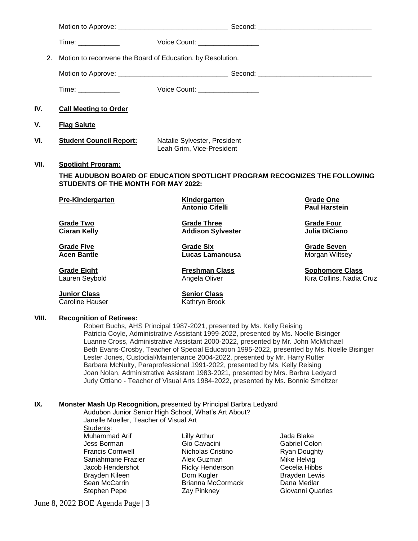|       | Time: ____________                                                                                                                                        | Voice Count: __________________                                                                                                                                                                                                                                                                                                                                                                                                                                                                                                                                                                                                                                                           |                                                                                           |
|-------|-----------------------------------------------------------------------------------------------------------------------------------------------------------|-------------------------------------------------------------------------------------------------------------------------------------------------------------------------------------------------------------------------------------------------------------------------------------------------------------------------------------------------------------------------------------------------------------------------------------------------------------------------------------------------------------------------------------------------------------------------------------------------------------------------------------------------------------------------------------------|-------------------------------------------------------------------------------------------|
| 2.    | Motion to reconvene the Board of Education, by Resolution.                                                                                                |                                                                                                                                                                                                                                                                                                                                                                                                                                                                                                                                                                                                                                                                                           |                                                                                           |
|       |                                                                                                                                                           |                                                                                                                                                                                                                                                                                                                                                                                                                                                                                                                                                                                                                                                                                           |                                                                                           |
|       | Time: ____________                                                                                                                                        | Voice Count: _________________                                                                                                                                                                                                                                                                                                                                                                                                                                                                                                                                                                                                                                                            |                                                                                           |
| IV.   | <b>Call Meeting to Order</b>                                                                                                                              |                                                                                                                                                                                                                                                                                                                                                                                                                                                                                                                                                                                                                                                                                           |                                                                                           |
| ۷.    | <b>Flag Salute</b>                                                                                                                                        |                                                                                                                                                                                                                                                                                                                                                                                                                                                                                                                                                                                                                                                                                           |                                                                                           |
| VI.   | <b>Student Council Report:</b>                                                                                                                            | Natalie Sylvester, President<br>Leah Grim, Vice-President                                                                                                                                                                                                                                                                                                                                                                                                                                                                                                                                                                                                                                 |                                                                                           |
| VII.  | <b>Spotlight Program:</b><br>STUDENTS OF THE MONTH FOR MAY 2022:                                                                                          | THE AUDUBON BOARD OF EDUCATION SPOTLIGHT PROGRAM RECOGNIZES THE FOLLOWING                                                                                                                                                                                                                                                                                                                                                                                                                                                                                                                                                                                                                 |                                                                                           |
|       | <b>Pre-Kindergarten</b>                                                                                                                                   | <b>Kindergarten</b><br><b>Antonio Cifelli</b>                                                                                                                                                                                                                                                                                                                                                                                                                                                                                                                                                                                                                                             | <b>Grade One</b><br><b>Paul Harstein</b>                                                  |
|       | <b>Grade Two</b><br><b>Ciaran Kelly</b>                                                                                                                   | <b>Grade Three</b><br><b>Addison Sylvester</b>                                                                                                                                                                                                                                                                                                                                                                                                                                                                                                                                                                                                                                            | <b>Grade Four</b><br>Julia DiCiano                                                        |
|       | <b>Grade Five</b><br><b>Acen Bantle</b>                                                                                                                   | <b>Grade Six</b><br><b>Lucas Lamancusa</b>                                                                                                                                                                                                                                                                                                                                                                                                                                                                                                                                                                                                                                                | <b>Grade Seven</b><br>Morgan Wiltsey                                                      |
|       | <b>Grade Eight</b><br>Lauren Seybold                                                                                                                      | <b>Freshman Class</b><br>Angela Oliver                                                                                                                                                                                                                                                                                                                                                                                                                                                                                                                                                                                                                                                    | <b>Sophomore Class</b><br>Kira Collins, Nadia Cruz                                        |
|       | <b>Junior Class</b><br><b>Caroline Hauser</b>                                                                                                             | <b>Senior Class</b><br>Kathryn Brook                                                                                                                                                                                                                                                                                                                                                                                                                                                                                                                                                                                                                                                      |                                                                                           |
| VIII. | <b>Recognition of Retirees:</b>                                                                                                                           | Robert Buchs, AHS Principal 1987-2021, presented by Ms. Kelly Reising<br>Patricia Coyle, Administrative Assistant 1999-2022, presented by Ms. Noelle Bisinger<br>Luanne Cross, Administrative Assistant 2000-2022, presented by Mr. John McMichael<br>Beth Evans-Crosby, Teacher of Special Education 1995-2022, presented by Ms. Noelle Bisinger<br>Lester Jones, Custodial/Maintenance 2004-2022, presented by Mr. Harry Rutter<br>Barbara McNulty, Paraprofessional 1991-2022, presented by Ms. Kelly Reising<br>Joan Nolan, Administrative Assistant 1983-2021, presented by Mrs. Barbra Ledyard<br>Judy Ottiano - Teacher of Visual Arts 1984-2022, presented by Ms. Bonnie Smeltzer |                                                                                           |
| IX.   | Janelle Mueller, Teacher of Visual Art<br>Students:<br>Muhammad Arif<br>Jess Borman<br><b>Francis Cornwell</b><br>Saniahmarie Frazier<br>Jacob Hendershot | Monster Mash Up Recognition, presented by Principal Barbra Ledyard<br>Audubon Junior Senior High School, What's Art About?<br><b>Lilly Arthur</b><br>Gio Cavacini<br>Nicholas Cristino<br>Alex Guzman<br>Ricky Henderson                                                                                                                                                                                                                                                                                                                                                                                                                                                                  | Jada Blake<br><b>Gabriel Colon</b><br><b>Ryan Doughty</b><br>Mike Helvig<br>Cecelia Hibbs |
|       | Brayden Kileen<br>Sean McCarrin<br>Stephen Pepe                                                                                                           | Dom Kugler<br><b>Brianna McCormack</b><br>Zay Pinkney                                                                                                                                                                                                                                                                                                                                                                                                                                                                                                                                                                                                                                     | <b>Brayden Lewis</b><br>Dana Medlar<br>Giovanni Quarles                                   |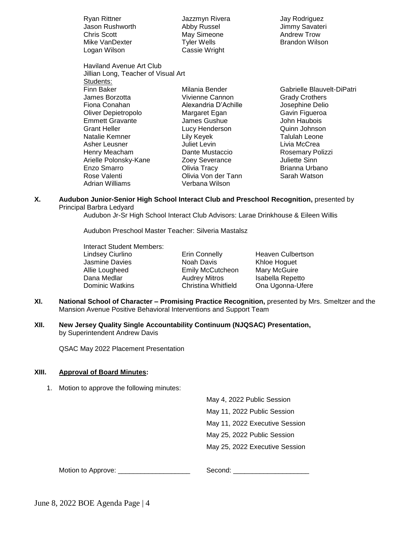| Ryan Rittner<br>Jason Rushworth     | Jazzmyn Rivera<br>Abby Russel | Jay Rodriguez<br>Jimmy Savateri |
|-------------------------------------|-------------------------------|---------------------------------|
| <b>Chris Scott</b>                  | May Simeone                   | <b>Andrew Trow</b>              |
| Mike VanDexter                      | <b>Tyler Wells</b>            | <b>Brandon Wilson</b>           |
| Logan Wilson                        | Cassie Wright                 |                                 |
| <b>Haviland Avenue Art Club</b>     |                               |                                 |
| Jillian Long, Teacher of Visual Art |                               |                                 |
| Students:                           |                               |                                 |
| Finn Baker                          | Milania Bender                | Gabrielle Blauvelt-DiPatri      |
| James Borzotta                      | Vivienne Cannon               | <b>Grady Crothers</b>           |
| Fiona Conahan                       | Alexandria D'Achille          | Josephine Delio                 |
| Oliver Depietropolo                 | Margaret Egan                 | Gavin Figueroa                  |
| <b>Emmett Gravante</b>              | James Gushue                  | John Haubois                    |
| <b>Grant Heller</b>                 | Lucy Henderson                | Quinn Johnson                   |
| Natalie Kemner                      | Lily Keyek                    | Talulah Leone                   |
| Asher Leusner                       | Juliet Levin                  | Livia McCrea                    |
| Henry Meacham                       | Dante Mustaccio               | Rosemary Polizzi                |
| Arielle Polonsky-Kane               | Zoey Severance                | <b>Juliette Sinn</b>            |
| Enzo Smarro                         | Olivia Tracy                  | Brianna Urbano                  |
| Rose Valenti                        | Olivia Von der Tann           | Sarah Watson                    |
| Adrian Williams                     | Verbana Wilson                |                                 |

**X. Audubon Junior-Senior High School Interact Club and Preschool Recognition,** presented by Principal Barbra Ledyard

Audubon Jr-Sr High School Interact Club Advisors: Larae Drinkhouse & Eileen Willis

Audubon Preschool Master Teacher: Silveria Mastalsz

Interact Student Members: Lindsey Ciurlino **Erin Connelly** Heaven Culbertson Jasmine Davies **Noah Davis** Khloe Hoguet<br>Allie Lougheed **Allie Lougheed** Emily McCutcheon Mary McGuire Allie Lougheed Emily McCutcheon<br>
Dana Medlar Audrey Mitros Dana Medlar **Michara Audrey Mitros** Isabella Repetto<br>Dominic Watkins **International Christina Whitfield** Ona Ugonna-Ufe

Ona Ugonna-Ufere

- **XI. National School of Character – Promising Practice Recognition,** presented by Mrs. Smeltzer and the Mansion Avenue Positive Behavioral Interventions and Support Team
- **XII. New Jersey Quality Single Accountability Continuum (NJQSAC) Presentation,**  by Superintendent Andrew Davis

QSAC May 2022 Placement Presentation

## **XIII. Approval of Board Minutes:**

1. Motion to approve the following minutes:

May 4, 2022 Public Session May 11, 2022 Public Session May 11, 2022 Executive Session May 25, 2022 Public Session May 25, 2022 Executive Session

Motion to Approve:  $\bullet$  Second:  $\bullet$  Second:  $\bullet$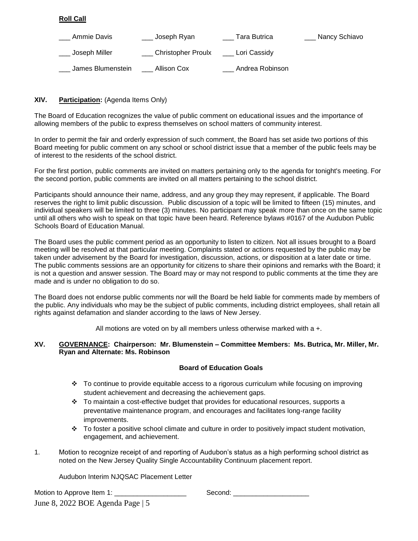# **Roll Call**

| Ammie Davis       | Joseph Ryan               | Tara Butrica    | _ Nancy Schiavo |
|-------------------|---------------------------|-----------------|-----------------|
| Joseph Miller     | <b>Christopher Proulx</b> | Lori Cassidy    |                 |
| James Blumenstein | Allison Cox               | Andrea Robinson |                 |

# **XIV. Participation:** (Agenda Items Only)

The Board of Education recognizes the value of public comment on educational issues and the importance of allowing members of the public to express themselves on school matters of community interest.

In order to permit the fair and orderly expression of such comment, the Board has set aside two portions of this Board meeting for public comment on any school or school district issue that a member of the public feels may be of interest to the residents of the school district.

For the first portion, public comments are invited on matters pertaining only to the agenda for tonight's meeting. For the second portion, public comments are invited on all matters pertaining to the school district.

Participants should announce their name, address, and any group they may represent, if applicable. The Board reserves the right to limit public discussion. Public discussion of a topic will be limited to fifteen (15) minutes, and individual speakers will be limited to three (3) minutes. No participant may speak more than once on the same topic until all others who wish to speak on that topic have been heard. Reference bylaws #0167 of the Audubon Public Schools Board of Education Manual.

The Board uses the public comment period as an opportunity to listen to citizen. Not all issues brought to a Board meeting will be resolved at that particular meeting. Complaints stated or actions requested by the public may be taken under advisement by the Board for investigation, discussion, actions, or disposition at a later date or time. The public comments sessions are an opportunity for citizens to share their opinions and remarks with the Board; it is not a question and answer session. The Board may or may not respond to public comments at the time they are made and is under no obligation to do so.

The Board does not endorse public comments nor will the Board be held liable for comments made by members of the public. Any individuals who may be the subject of public comments, including district employees, shall retain all rights against defamation and slander according to the laws of New Jersey.

All motions are voted on by all members unless otherwise marked with a +.

## **XV. GOVERNANCE: Chairperson: Mr. Blumenstein – Committee Members: Ms. Butrica, Mr. Miller, Mr. Ryan and Alternate: Ms. Robinson**

# **Board of Education Goals**

- $\div$  To continue to provide equitable access to a rigorous curriculum while focusing on improving student achievement and decreasing the achievement gaps.
- $\div$  To maintain a cost-effective budget that provides for educational resources, supports a preventative maintenance program, and encourages and facilitates long-range facility improvements.
- $\cdot \cdot$  To foster a positive school climate and culture in order to positively impact student motivation, engagement, and achievement.
- 1. Motion to recognize receipt of and reporting of Audubon's status as a high performing school district as noted on the New Jersey Quality Single Accountability Continuum placement report.

## Audubon Interim NJQSAC Placement Letter

June 8, 2022 BOE Agenda Page | 5 Motion to Approve Item 1: \_\_\_\_\_\_\_\_\_\_\_\_\_\_\_\_\_\_\_ Second: \_\_\_\_\_\_\_\_\_\_\_\_\_\_\_\_\_\_\_\_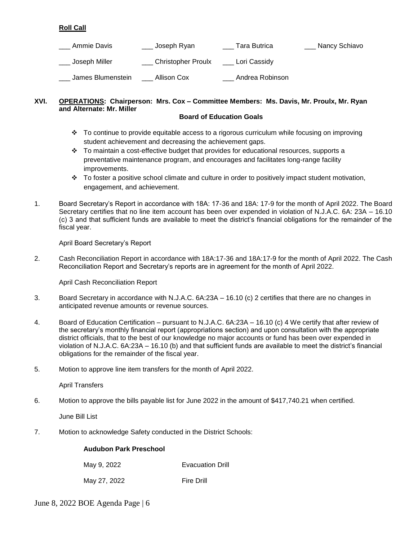# **Roll Call**

| Ammie Davis       | Joseph Ryan        | Tara Butrica    | Nancy Schiavo |
|-------------------|--------------------|-----------------|---------------|
| Joseph Miller     | Christopher Proulx | Lori Cassidy    |               |
| James Blumenstein | Allison Cox        | Andrea Robinson |               |

# **XVI. OPERATIONS: Chairperson: Mrs. Cox – Committee Members: Ms. Davis, Mr. Proulx, Mr. Ryan and Alternate: Mr. Miller**

## **Board of Education Goals**

- $\div$  To continue to provide equitable access to a rigorous curriculum while focusing on improving student achievement and decreasing the achievement gaps.
- $\cdot \cdot$  To maintain a cost-effective budget that provides for educational resources, supports a preventative maintenance program, and encourages and facilitates long-range facility improvements.
- $\cdot \cdot$  To foster a positive school climate and culture in order to positively impact student motivation, engagement, and achievement.
- 1. Board Secretary's Report in accordance with 18A: 17-36 and 18A: 17-9 for the month of April 2022. The Board Secretary certifies that no line item account has been over expended in violation of N.J.A.C. 6A: 23A – 16.10 (c) 3 and that sufficient funds are available to meet the district's financial obligations for the remainder of the fiscal year.

April Board Secretary's Report

2. Cash Reconciliation Report in accordance with 18A:17-36 and 18A:17-9 for the month of April 2022. The Cash Reconciliation Report and Secretary's reports are in agreement for the month of April 2022.

April Cash Reconciliation Report

- 3.Board Secretary in accordance with N.J.A.C. 6A:23A 16.10 (c) 2 certifies that there are no changes in anticipated revenue amounts or revenue sources.
- 4. Board of Education Certification pursuant to N.J.A.C. 6A:23A 16.10 (c) 4 We certify that after review of the secretary's monthly financial report (appropriations section) and upon consultation with the appropriate district officials, that to the best of our knowledge no major accounts or fund has been over expended in violation of N.J.A.C. 6A:23A – 16.10 (b) and that sufficient funds are available to meet the district's financial obligations for the remainder of the fiscal year.
- 5. Motion to approve line item transfers for the month of April 2022.

April Transfers

6. Motion to approve the bills payable list for June 2022 in the amount of \$417,740.21 when certified.

June Bill List

7. Motion to acknowledge Safety conducted in the District Schools:

#### **Audubon Park Preschool**

| May 9, 2022 | <b>Evacuation Drill</b> |
|-------------|-------------------------|
|             |                         |

May 27, 2022 Fire Drill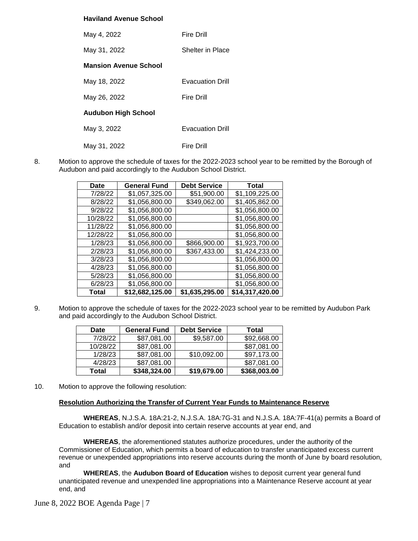## **Haviland Avenue School**

| May 4, 2022                  | <b>Fire Drill</b>       |
|------------------------------|-------------------------|
| May 31, 2022                 | Shelter in Place        |
| <b>Mansion Avenue School</b> |                         |
| May 18, 2022                 | <b>Evacuation Drill</b> |
| May 26, 2022                 | <b>Fire Drill</b>       |
| <b>Audubon High School</b>   |                         |
| May 3, 2022                  | <b>Evacuation Drill</b> |
| May 31, 2022                 | <b>Fire Drill</b>       |

8. Motion to approve the schedule of taxes for the 2022-2023 school year to be remitted by the Borough of Audubon and paid accordingly to the Audubon School District.

| Date     | <b>General Fund</b> | <b>Debt Service</b> | Total           |
|----------|---------------------|---------------------|-----------------|
| 7/28/22  | \$1,057,325.00      | \$51,900.00         | \$1,109,225.00  |
| 8/28/22  | \$1,056,800.00      | \$349,062.00        | \$1,405,862.00  |
| 9/28/22  | \$1,056,800.00      |                     | \$1,056,800.00  |
| 10/28/22 | \$1,056,800.00      |                     | \$1,056,800.00  |
| 11/28/22 | \$1,056,800.00      |                     | \$1,056,800.00  |
| 12/28/22 | \$1,056,800.00      |                     | \$1,056,800.00  |
| 1/28/23  | \$1,056,800.00      | \$866,900.00        | \$1,923,700.00  |
| 2/28/23  | \$1,056,800.00      | \$367,433.00        | \$1,424,233.00  |
| 3/28/23  | \$1,056,800.00      |                     | \$1,056,800.00  |
| 4/28/23  | \$1,056,800.00      |                     | \$1,056,800.00  |
| 5/28/23  | \$1,056,800.00      |                     | \$1,056,800.00  |
| 6/28/23  | \$1,056,800.00      |                     | \$1,056,800.00  |
| Total    | \$12,682,125.00     | \$1,635,295.00      | \$14,317,420.00 |

9. Motion to approve the schedule of taxes for the 2022-2023 school year to be remitted by Audubon Park and paid accordingly to the Audubon School District.

| <b>Date</b> | <b>General Fund</b> | <b>Debt Service</b> | Total        |
|-------------|---------------------|---------------------|--------------|
| 7/28/22     | \$87,081.00         | \$9,587.00          | \$92,668.00  |
| 10/28/22    | \$87,081.00         |                     | \$87,081.00  |
| 1/28/23     | \$87,081.00         | \$10,092.00         | \$97,173.00  |
| 4/28/23     | \$87,081.00         |                     | \$87,081.00  |
| Total       | \$348,324.00        | \$19,679.00         | \$368,003.00 |

10. Motion to approve the following resolution:

#### **Resolution Authorizing the Transfer of Current Year Funds to Maintenance Reserve**

**WHEREAS**, N.J.S.A. 18A:21-2, N.J.S.A. 18A:7G-31 and N.J.S.A. 18A:7F-41(a) permits a Board of Education to establish and/or deposit into certain reserve accounts at year end, and

**WHEREAS**, the aforementioned statutes authorize procedures, under the authority of the Commissioner of Education, which permits a board of education to transfer unanticipated excess current revenue or unexpended appropriations into reserve accounts during the month of June by board resolution, and

**WHEREAS**, the **Audubon Board of Education** wishes to deposit current year general fund unanticipated revenue and unexpended line appropriations into a Maintenance Reserve account at year end, and

June 8, 2022 BOE Agenda Page | 7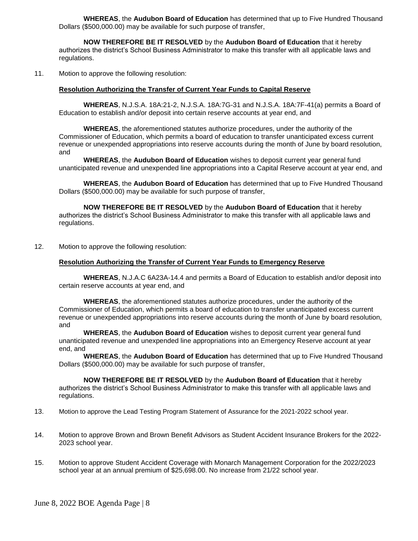**WHEREAS**, the **Audubon Board of Education** has determined that up to Five Hundred Thousand Dollars (\$500,000.00) may be available for such purpose of transfer,

**NOW THEREFORE BE IT RESOLVED** by the **Audubon Board of Education** that it hereby authorizes the district's School Business Administrator to make this transfer with all applicable laws and regulations.

11. Motion to approve the following resolution:

#### **Resolution Authorizing the Transfer of Current Year Funds to Capital Reserve**

**WHEREAS**, N.J.S.A. 18A:21-2, N.J.S.A. 18A:7G-31 and N.J.S.A. 18A:7F-41(a) permits a Board of Education to establish and/or deposit into certain reserve accounts at year end, and

**WHEREAS**, the aforementioned statutes authorize procedures, under the authority of the Commissioner of Education, which permits a board of education to transfer unanticipated excess current revenue or unexpended appropriations into reserve accounts during the month of June by board resolution, and

**WHEREAS**, the **Audubon Board of Education** wishes to deposit current year general fund unanticipated revenue and unexpended line appropriations into a Capital Reserve account at year end, and

**WHEREAS**, the **Audubon Board of Education** has determined that up to Five Hundred Thousand Dollars (\$500,000.00) may be available for such purpose of transfer,

**NOW THEREFORE BE IT RESOLVED** by the **Audubon Board of Education** that it hereby authorizes the district's School Business Administrator to make this transfer with all applicable laws and regulations.

12. Motion to approve the following resolution:

#### **Resolution Authorizing the Transfer of Current Year Funds to Emergency Reserve**

**WHEREAS**, N.J.A.C 6A23A-14.4 and permits a Board of Education to establish and/or deposit into certain reserve accounts at year end, and

**WHEREAS**, the aforementioned statutes authorize procedures, under the authority of the Commissioner of Education, which permits a board of education to transfer unanticipated excess current revenue or unexpended appropriations into reserve accounts during the month of June by board resolution, and

**WHEREAS**, the **Audubon Board of Education** wishes to deposit current year general fund unanticipated revenue and unexpended line appropriations into an Emergency Reserve account at year end, and

**WHEREAS**, the **Audubon Board of Education** has determined that up to Five Hundred Thousand Dollars (\$500,000.00) may be available for such purpose of transfer,

**NOW THEREFORE BE IT RESOLVED** by the **Audubon Board of Education** that it hereby authorizes the district's School Business Administrator to make this transfer with all applicable laws and regulations.

- 13. Motion to approve the Lead Testing Program Statement of Assurance for the 2021-2022 school year.
- 14. Motion to approve Brown and Brown Benefit Advisors as Student Accident Insurance Brokers for the 2022- 2023 school year.
- 15. Motion to approve Student Accident Coverage with Monarch Management Corporation for the 2022/2023 school year at an annual premium of \$25,698.00. No increase from 21/22 school year.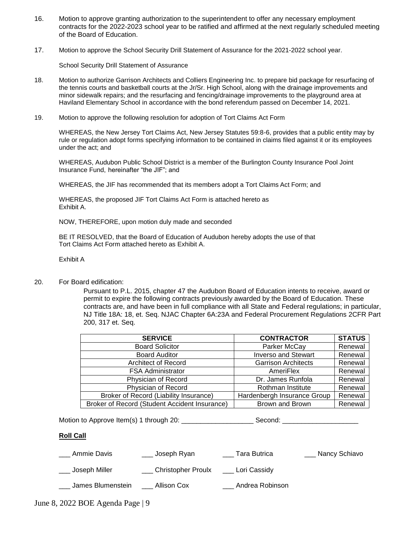- 16. Motion to approve granting authorization to the superintendent to offer any necessary employment contracts for the 2022-2023 school year to be ratified and affirmed at the next regularly scheduled meeting of the Board of Education.
- 17. Motion to approve the School Security Drill Statement of Assurance for the 2021-2022 school year.

School Security Drill Statement of Assurance

- 18. Motion to authorize Garrison Architects and Colliers Engineering Inc. to prepare bid package for resurfacing of the tennis courts and basketball courts at the Jr/Sr. High School, along with the drainage improvements and minor sidewalk repairs; and the resurfacing and fencing/drainage improvements to the playground area at Haviland Elementary School in accordance with the bond referendum passed on December 14, 2021.
- 19. Motion to approve the following resolution for adoption of Tort Claims Act Form

WHEREAS, the New Jersey Tort Claims Act, New Jersey Statutes 59:8-6, provides that a public entity may by rule or regulation adopt forms specifying information to be contained in claims filed against it or its employees under the act; and

WHEREAS, Audubon Public School District is a member of the Burlington County Insurance Pool Joint Insurance Fund, hereinafter "the JIF"; and

WHEREAS, the JIF has recommended that its members adopt a Tort Claims Act Form; and

WHEREAS, the proposed JIF Tort Claims Act Form is attached hereto as Exhibit A.

NOW, THEREFORE, upon motion duly made and seconded

BE IT RESOLVED, that the Board of Education of Audubon hereby adopts the use of that Tort Claims Act Form attached hereto as Exhibit A.

Exhibit A

20. For Board edification:

Pursuant to P.L. 2015, chapter 47 the Audubon Board of Education intents to receive, award or permit to expire the following contracts previously awarded by the Board of Education. These contracts are, and have been in full compliance with all State and Federal regulations; in particular, NJ Title 18A: 18, et. Seq. NJAC Chapter 6A:23A and Federal Procurement Regulations 2CFR Part 200, 317 et. Seq.

| <b>SERVICE</b>                                | <b>CONTRACTOR</b>           | <b>STATUS</b> |
|-----------------------------------------------|-----------------------------|---------------|
| <b>Board Solicitor</b>                        | Parker McCay                | Renewal       |
| <b>Board Auditor</b>                          | <b>Inverso and Stewart</b>  | Renewal       |
| <b>Architect of Record</b>                    | <b>Garrison Architects</b>  | Renewal       |
| <b>FSA Administrator</b>                      | AmeriFlex                   | Renewal       |
| Physician of Record                           | Dr. James Runfola           | Renewal       |
| Physician of Record                           | Rothman Institute           | Renewal       |
| Broker of Record (Liability Insurance)        | Hardenbergh Insurance Group | Renewal       |
| Broker of Record (Student Accident Insurance) | Brown and Brown             | Renewal       |

Motion to Approve Item(s) 1 through 20: \_\_\_\_\_\_\_\_\_\_\_\_\_\_\_\_\_\_\_ Second: \_\_\_\_\_\_\_\_\_\_\_\_\_\_\_\_\_\_\_\_

# **Roll Call**

\_\_\_ Ammie Davis \_\_\_ Joseph Ryan \_\_\_ Tara Butrica \_\_\_ Nancy Schiavo

\_ Joseph Miller \_\_\_\_\_\_\_\_ Christopher Proulx \_\_\_\_ Lori Cassidy

\_\_\_ James Blumenstein \_\_\_ Allison Cox \_\_\_ Andrea Robinson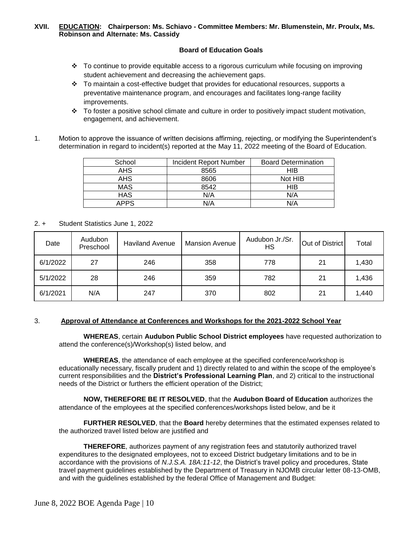## **XVII. EDUCATION: Chairperson: Ms. Schiavo - Committee Members: Mr. Blumenstein, Mr. Proulx, Ms. Robinson and Alternate: Ms. Cassidy**

## **Board of Education Goals**

- To continue to provide equitable access to a rigorous curriculum while focusing on improving student achievement and decreasing the achievement gaps.
- $\div$  To maintain a cost-effective budget that provides for educational resources, supports a preventative maintenance program, and encourages and facilitates long-range facility improvements.
- To foster a positive school climate and culture in order to positively impact student motivation, engagement, and achievement.
- 1. Motion to approve the issuance of written decisions affirming, rejecting, or modifying the Superintendent's determination in regard to incident(s) reported at the May 11, 2022 meeting of the Board of Education.

| School      | Incident Report Number | <b>Board Determination</b> |
|-------------|------------------------|----------------------------|
| AHS.        | 8565                   | HIB                        |
| AHS.        | 8606                   | Not HIB                    |
| <b>MAS</b>  | 8542                   | HIB                        |
| <b>HAS</b>  | N/A                    | N/A                        |
| <b>APPS</b> | N/A                    | N/A                        |

2. + Student Statistics June 1, 2022

| Date     | Audubon<br>Preschool | <b>Haviland Avenue</b> | <b>Mansion Avenue</b> | Audubon Jr./Sr.<br>HS | Out of District | Total |
|----------|----------------------|------------------------|-----------------------|-----------------------|-----------------|-------|
| 6/1/2022 | 27                   | 246                    | 358                   | 778                   | 21              | 1,430 |
| 5/1/2022 | 28                   | 246                    | 359                   | 782                   | 21              | 1,436 |
| 6/1/2021 | N/A                  | 247                    | 370                   | 802                   | 21              | 1,440 |

#### 3. **Approval of Attendance at Conferences and Workshops for the 2021-2022 School Year**

 **WHEREAS**, certain **Audubon Public School District employees** have requested authorization to attend the conference(s)/Workshop(s) listed below, and

**WHEREAS**, the attendance of each employee at the specified conference/workshop is educationally necessary, fiscally prudent and 1) directly related to and within the scope of the employee's current responsibilities and the **District's Professional Learning Plan**, and 2) critical to the instructional needs of the District or furthers the efficient operation of the District;

**NOW, THEREFORE BE IT RESOLVED**, that the **Audubon Board of Education** authorizes the attendance of the employees at the specified conferences/workshops listed below, and be it

**FURTHER RESOLVED**, that the **Board** hereby determines that the estimated expenses related to the authorized travel listed below are justified and

**THEREFORE**, authorizes payment of any registration fees and statutorily authorized travel expenditures to the designated employees, not to exceed District budgetary limitations and to be in accordance with the provisions of *N.J.S.A. 18A:11-12*, the District's travel policy and procedures, State travel payment guidelines established by the Department of Treasury in NJOMB circular letter 08-13-OMB, and with the guidelines established by the federal Office of Management and Budget: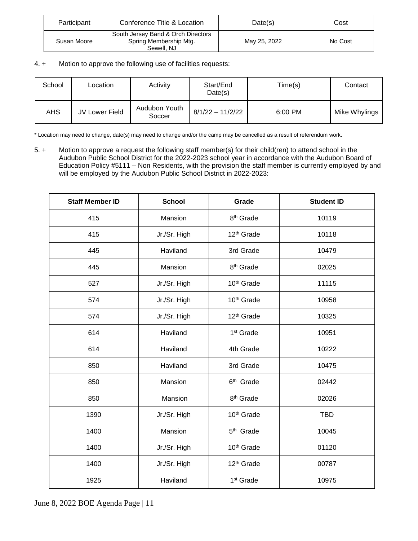| Participant | Conference Title & Location                                                | Date(s)      | Cost    |
|-------------|----------------------------------------------------------------------------|--------------|---------|
| Susan Moore | South Jersey Band & Orch Directors<br>Spring Membership Mtg.<br>Sewell, NJ | May 25, 2022 | No Cost |

# 4. + Motion to approve the following use of facilities requests:

| School | Location       | Activity                | Start/End<br>Date(s) | Time(s) | Contact       |
|--------|----------------|-------------------------|----------------------|---------|---------------|
| AHS    | JV Lower Field | Audubon Youth<br>Soccer | 8/1/22 - 11/2/22     | 6:00 PM | Mike Whylings |

\* Location may need to change, date(s) may need to change and/or the camp may be cancelled as a result of referendum work.

5. + Motion to approve a request the following staff member(s) for their child(ren) to attend school in the Audubon Public School District for the 2022-2023 school year in accordance with the Audubon Board of Education Policy #5111 – Non Residents, with the provision the staff member is currently employed by and will be employed by the Audubon Public School District in 2022-2023:

| <b>Staff Member ID</b> | <b>School</b> | Grade                  | <b>Student ID</b> |
|------------------------|---------------|------------------------|-------------------|
| 415                    | Mansion       | 8 <sup>th</sup> Grade  | 10119             |
| 415                    | Jr./Sr. High  | 12 <sup>th</sup> Grade | 10118             |
| 445                    | Haviland      | 3rd Grade              | 10479             |
| 445                    | Mansion       | 8 <sup>th</sup> Grade  | 02025             |
| 527                    | Jr./Sr. High  | 10 <sup>th</sup> Grade | 11115             |
| 574                    | Jr./Sr. High  | 10 <sup>th</sup> Grade | 10958             |
| 574                    | Jr./Sr. High  | 12 <sup>th</sup> Grade | 10325             |
| 614                    | Haviland      | 1 <sup>st</sup> Grade  | 10951             |
| 614                    | Haviland      | 4th Grade              | 10222             |
| 850                    | Haviland      | 3rd Grade              | 10475             |
| 850                    | Mansion       | 6 <sup>th</sup> Grade  | 02442             |
| 850                    | Mansion       | 8 <sup>th</sup> Grade  | 02026             |
| 1390                   | Jr./Sr. High  | 10 <sup>th</sup> Grade | <b>TBD</b>        |
| 1400                   | Mansion       | 5 <sup>th</sup> Grade  | 10045             |
| 1400                   | Jr./Sr. High  | 10 <sup>th</sup> Grade | 01120             |
| 1400                   | Jr./Sr. High  | 12 <sup>th</sup> Grade | 00787             |
| 1925<br>Haviland       |               | 1 <sup>st</sup> Grade  | 10975             |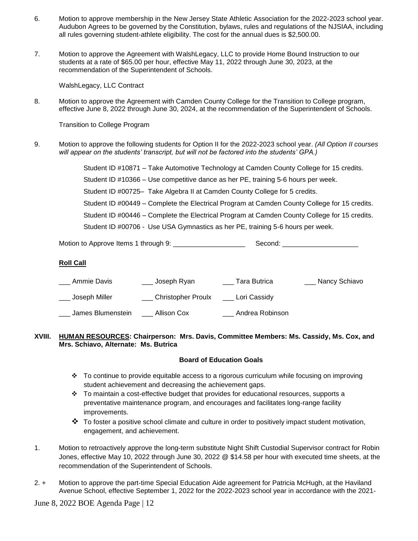- 6. Motion to approve membership in the New Jersey State Athletic Association for the 2022-2023 school year. Audubon Agrees to be governed by the Constitution, bylaws, rules and regulations of the NJSIAA, including all rules governing student-athlete eligibility. The cost for the annual dues is \$2,500.00.
- 7. Motion to approve the Agreement with WalshLegacy, LLC to provide Home Bound Instruction to our students at a rate of \$65.00 per hour, effective May 11, 2022 through June 30, 2023, at the recommendation of the Superintendent of Schools.

WalshLegacy, LLC Contract

8. Motion to approve the Agreement with Camden County College for the Transition to College program, effective June 8, 2022 through June 30, 2024, at the recommendation of the Superintendent of Schools.

Transition to College Program

9. Motion to approve the following students for Option II for the 2022-2023 school year. *(All Option II courses will appear on the students' transcript, but will not be factored into the students' GPA.)*

| Student ID #10871 - Take Automotive Technology at Camden County College for 15 credits.      |
|----------------------------------------------------------------------------------------------|
| Student ID #10366 – Use competitive dance as her PE, training 5-6 hours per week.            |
| Student ID #00725- Take Algebra II at Camden County College for 5 credits.                   |
| Student ID #00449 – Complete the Electrical Program at Camden County College for 15 credits. |
| Student ID #00446 – Complete the Electrical Program at Camden County College for 15 credits. |
| Student ID #00706 - Use USA Gymnastics as her PE, training 5-6 hours per week.               |
|                                                                                              |

Motion to Approve Items 1 through 9: \_\_\_\_\_\_\_\_\_\_\_\_\_\_\_\_\_\_\_ Second: \_\_\_\_\_\_\_\_\_\_\_\_\_\_\_\_\_\_\_\_

# **Roll Call**

| Ammie Davis       | Joseph Ryan        | Tara Butrica    | Nancy Schiavo |
|-------------------|--------------------|-----------------|---------------|
| Joseph Miller     | Christopher Proulx | Lori Cassidy    |               |
| James Blumenstein | Allison Cox        | Andrea Robinson |               |

## **XVIII. HUMAN RESOURCES: Chairperson: Mrs. Davis, Committee Members: Ms. Cassidy, Ms. Cox, and Mrs. Schiavo, Alternate: Ms. Butrica**

#### **Board of Education Goals**

- To continue to provide equitable access to a rigorous curriculum while focusing on improving student achievement and decreasing the achievement gaps.
- $\div$  To maintain a cost-effective budget that provides for educational resources, supports a preventative maintenance program, and encourages and facilitates long-range facility improvements.
- $\clubsuit$  To foster a positive school climate and culture in order to positively impact student motivation, engagement, and achievement.
- 1. Motion to retroactively approve the long-term substitute Night Shift Custodial Supervisor contract for Robin Jones, effective May 10, 2022 through June 30, 2022 @ \$14.58 per hour with executed time sheets, at the recommendation of the Superintendent of Schools.
- 2. + Motion to approve the part-time Special Education Aide agreement for Patricia McHugh, at the Haviland Avenue School, effective September 1, 2022 for the 2022-2023 school year in accordance with the 2021-

June 8, 2022 BOE Agenda Page | 12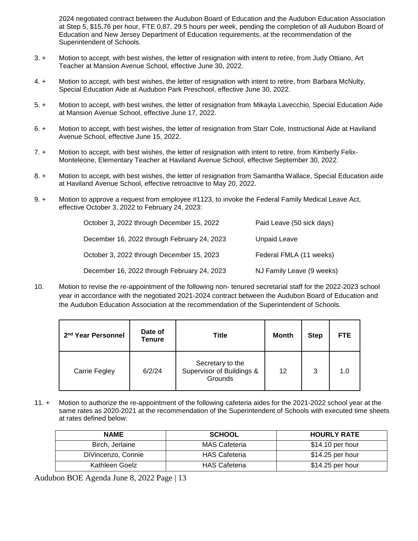2024 negotiated contract between the Audubon Board of Education and the Audubon Education Association at Step 5, \$15.76 per hour, FTE 0.87, 29.5 hours per week, pending the completion of all Audubon Board of Education and New Jersey Department of Education requirements, at the recommendation of the Superintendent of Schools.

- 3. + Motion to accept, with best wishes, the letter of resignation with intent to retire, from Judy Ottiano, Art Teacher at Mansion Avenue School, effective June 30, 2022.
- 4. + Motion to accept, with best wishes, the letter of resignation with intent to retire, from Barbara McNulty, Special Education Aide at Audubon Park Preschool, effective June 30, 2022.
- 5. + Motion to accept, with best wishes, the letter of resignation from Mikayla Lavecchio, Special Education Aide at Mansion Avenue School, effective June 17, 2022.
- 6. + Motion to accept, with best wishes, the letter of resignation from Starr Cole, Instructional Aide at Haviland Avenue School, effective June 15, 2022.
- 7. + Motion to accept, with best wishes, the letter of resignation with intent to retire, from Kimberly Felix-Monteleone, Elementary Teacher at Haviland Avenue School, effective September 30, 2022.
- 8. + Motion to accept, with best wishes, the letter of resignation from Samantha Wallace, Special Education aide at Haviland Avenue School, effective retroactive to May 20, 2022.
- 9. + Motion to approve a request from employee #1123, to invoke the Federal Family Medical Leave Act, effective October 3, 2022 to February 24, 2023:

| October 3, 2022 through December 15, 2022   | Paid Leave (50 sick days) |
|---------------------------------------------|---------------------------|
| December 16, 2022 through February 24, 2023 | Unpaid Leave              |
| October 3, 2022 through December 15, 2023   | Federal FMLA (11 weeks)   |
| December 16, 2022 through February 24, 2023 | NJ Family Leave (9 weeks) |

10. Motion to revise the re-appointment of the following non- tenured secretarial staff for the 2022-2023 school year in accordance with the negotiated 2021-2024 contract between the Audubon Board of Education and the Audubon Education Association at the recommendation of the Superintendent of Schools.

| 2 <sup>nd</sup> Year Personnel | Date of<br>Tenure | <b>Title</b>                                             | Month | <b>Step</b> | <b>FTE</b> |
|--------------------------------|-------------------|----------------------------------------------------------|-------|-------------|------------|
| Carrie Fegley                  | 6/2/24            | Secretary to the<br>Supervisor of Buildings &<br>Grounds | 12    | 3           | 1.0        |

11. + Motion to authorize the re-appointment of the following cafeteria aides for the 2021-2022 school year at the same rates as 2020-2021 at the recommendation of the Superintendent of Schools with executed time sheets at rates defined below:

| <b>NAME</b>        | <b>SCHOOL</b>        | <b>HOURLY RATE</b> |
|--------------------|----------------------|--------------------|
| Birch, Jerlaine    | <b>MAS Cafeteria</b> | \$14.10 per hour   |
| DiVincenzo, Connie | <b>HAS Cafeteria</b> | $$14.25$ per hour  |
| Kathleen Goelz     | <b>HAS Cafeteria</b> | $$14.25$ per hour  |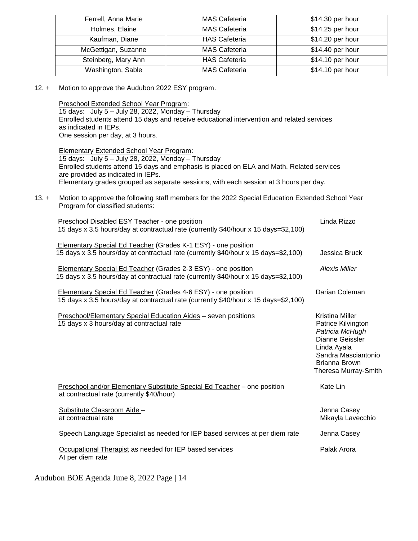| Ferrell, Anna Marie | <b>MAS Cafeteria</b> | \$14.30 per hour |
|---------------------|----------------------|------------------|
| Holmes, Elaine      | <b>MAS Cafeteria</b> | \$14.25 per hour |
| Kaufman, Diane      | <b>HAS Cafeteria</b> | \$14.20 per hour |
| McGettigan, Suzanne | <b>MAS Cafeteria</b> | \$14.40 per hour |
| Steinberg, Mary Ann | <b>HAS Cafeteria</b> | \$14.10 per hour |
| Washington, Sable   | <b>MAS Cafeteria</b> | \$14.10 per hour |

12. + Motion to approve the Audubon 2022 ESY program.

Preschool Extended School Year Program: 15 days: July 5 – July 28, 2022, Monday – Thursday Enrolled students attend 15 days and receive educational intervention and related services as indicated in IEPs. One session per day, at 3 hours.

Elementary Extended School Year Program: 15 days: July 5 – July 28, 2022, Monday – Thursday Enrolled students attend 15 days and emphasis is placed on ELA and Math. Related services are provided as indicated in IEPs. Elementary grades grouped as separate sessions, with each session at 3 hours per day.

13. + Motion to approve the following staff members for the 2022 Special Education Extended School Year Program for classified students:

| Preschool Disabled ESY Teacher - one position<br>15 days x 3.5 hours/day at contractual rate (currently \$40/hour x 15 days=\$2,100)                        | Linda Rizzo                                                                                                                                                |
|-------------------------------------------------------------------------------------------------------------------------------------------------------------|------------------------------------------------------------------------------------------------------------------------------------------------------------|
| Elementary Special Ed Teacher (Grades K-1 ESY) - one position<br>15 days x 3.5 hours/day at contractual rate (currently \$40/hour x 15 days=\$2,100)        | Jessica Bruck                                                                                                                                              |
| Elementary Special Ed Teacher (Grades 2-3 ESY) - one position<br>15 days x 3.5 hours/day at contractual rate (currently \$40/hour x 15 days=\$2,100)        | <b>Alexis Miller</b>                                                                                                                                       |
| <b>Elementary Special Ed Teacher (Grades 4-6 ESY) - one position</b><br>15 days x 3.5 hours/day at contractual rate (currently \$40/hour x 15 days=\$2,100) | Darian Coleman                                                                                                                                             |
| <b>Preschool/Elementary Special Education Aides - seven positions</b><br>15 days x 3 hours/day at contractual rate                                          | Kristina Miller<br>Patrice Kilvington<br>Patricia McHugh<br>Dianne Geissler<br>Linda Ayala<br>Sandra Masciantonio<br>Brianna Brown<br>Theresa Murray-Smith |
| Preschool and/or Elementary Substitute Special Ed Teacher - one position<br>at contractual rate (currently \$40/hour)                                       | Kate Lin                                                                                                                                                   |
| Substitute Classroom Aide -<br>at contractual rate                                                                                                          | Jenna Casey<br>Mikayla Lavecchio                                                                                                                           |
| Speech Language Specialist as needed for IEP based services at per diem rate                                                                                | Jenna Casey                                                                                                                                                |
| Occupational Therapist as needed for IEP based services<br>At per diem rate                                                                                 | Palak Arora                                                                                                                                                |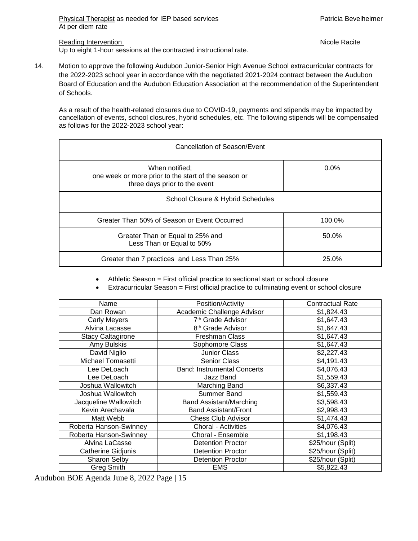Reading Intervention **Nicole Racite** Reading Intervention

Up to eight 1-hour sessions at the contracted instructional rate.

14. Motion to approve the following Audubon Junior-Senior High Avenue School extracurricular contracts for the 2022-2023 school year in accordance with the negotiated 2021-2024 contract between the Audubon Board of Education and the Audubon Education Association at the recommendation of the Superintendent of Schools.

As a result of the health-related closures due to COVID-19, payments and stipends may be impacted by cancellation of events, school closures, hybrid schedules, etc. The following stipends will be compensated as follows for the 2022-2023 school year:

| Cancellation of Season/Event                                                                            |         |  |  |
|---------------------------------------------------------------------------------------------------------|---------|--|--|
| When notified;<br>one week or more prior to the start of the season or<br>three days prior to the event | $0.0\%$ |  |  |
| School Closure & Hybrid Schedules                                                                       |         |  |  |
| Greater Than 50% of Season or Event Occurred                                                            | 100.0%  |  |  |
| Greater Than or Equal to 25% and<br>Less Than or Equal to 50%                                           | 50.0%   |  |  |
| Greater than 7 practices and Less Than 25%                                                              | 25.0%   |  |  |

Athletic Season = First official practice to sectional start or school closure

Extracurricular Season = First official practice to culminating event or school closure

| Position/Activity<br>Name |                                    | <b>Contractual Rate</b> |
|---------------------------|------------------------------------|-------------------------|
| Dan Rowan                 | Academic Challenge Advisor         | \$1,824.43              |
| <b>Carly Meyers</b>       | 7 <sup>th</sup> Grade Advisor      | \$1,647.43              |
| Alvina Lacasse            | 8 <sup>th</sup> Grade Advisor      | \$1,647.43              |
| <b>Stacy Caltagirone</b>  | <b>Freshman Class</b>              | \$1,647.43              |
| Amy Bulskis               | Sophomore Class                    | \$1,647.43              |
| David Niglio              | Junior Class                       | \$2,227.43              |
| Michael Tomasetti         | <b>Senior Class</b>                | \$4,191.43              |
| Lee DeLoach               | <b>Band: Instrumental Concerts</b> | \$4,076.43              |
| Lee DeLoach               | Jazz Band                          | \$1,559.43              |
| Joshua Wallowitch         | Marching Band                      | \$6,337.43              |
| Joshua Wallowitch         | Summer Band                        | \$1,559.43              |
| Jacqueline Wallowitch     | <b>Band Assistant/Marching</b>     | \$3,598.43              |
| Kevin Arechavala          | <b>Band Assistant/Front</b>        | \$2,998.43              |
| Matt Webb                 | <b>Chess Club Advisor</b>          | \$1,474.43              |
| Roberta Hanson-Swinney    | Choral - Activities                | \$4,076.43              |
| Roberta Hanson-Swinney    | Choral - Ensemble                  | \$1,198.43              |
| Alvina LaCasse            | <b>Detention Proctor</b>           | \$25/hour (Split)       |
| Catherine Gidjunis        | <b>Detention Proctor</b>           | \$25/hour (Split)       |
| Sharon Selby              | <b>Detention Proctor</b>           | \$25/hour (Split)       |
| <b>Greg Smith</b>         | <b>EMS</b>                         | \$5,822.43              |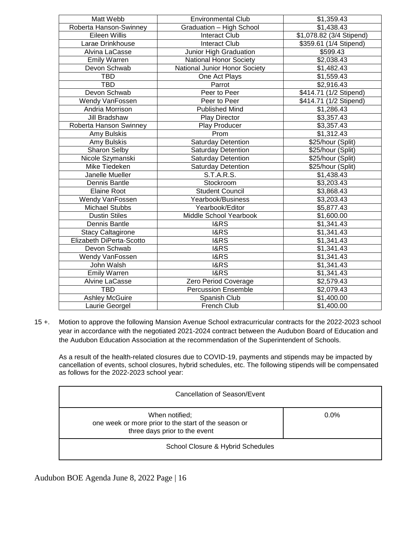| Matt Webb                | <b>Environmental Club</b>     | \$1,359.43               |
|--------------------------|-------------------------------|--------------------------|
| Roberta Hanson-Swinney   | Graduation - High School      | \$1,438.43               |
| Eileen Willis            | <b>Interact Club</b>          | \$1,078.82 (3/4 Stipend) |
| Larae Drinkhouse         | <b>Interact Club</b>          | \$359.61 (1/4 Stipend)   |
| Alvina LaCasse           | Junior High Graduation        | \$599.43                 |
| <b>Emily Warren</b>      | <b>National Honor Society</b> | \$2,038.43               |
| Devon Schwab             | National Junior Honor Society | \$1,482.43               |
| TBD                      | One Act Plays                 | \$1,559.43               |
| <b>TBD</b>               | Parrot                        | \$2,916.43               |
| Devon Schwab             | Peer to Peer                  | \$414.71 (1/2 Stipend)   |
| Wendy VanFossen          | Peer to Peer                  | \$414.71 (1/2 Stipend)   |
| Andria Morrison          | <b>Published Mind</b>         | \$1,286.43               |
| Jill Bradshaw            | <b>Play Director</b>          | \$3,357.43               |
| Roberta Hanson Swinney   | Play Producer                 | \$3,357.43               |
| Amy Bulskis              | Prom                          | \$1,312.43               |
| Amy Bulskis              | <b>Saturday Detention</b>     | \$25/hour (Split)        |
| Sharon Selby             | <b>Saturday Detention</b>     | \$25/hour (Split)        |
| Nicole Szymanski         | <b>Saturday Detention</b>     | \$25/hour (Split)        |
| Mike Tiedeken            | <b>Saturday Detention</b>     | \$25/hour (Split)        |
| Janelle Mueller          | S.T.A.R.S.                    | \$1,438.43               |
| Dennis Bantle            | Stockroom                     | \$3,203.43               |
| Elaine Root              | <b>Student Council</b>        | \$3,868.43               |
| Wendy VanFossen          | Yearbook/Business             | \$3,203.43               |
| <b>Michael Stubbs</b>    | Yearbook/Editor               | \$5,877.43               |
| <b>Dustin Stiles</b>     | Middle School Yearbook        | \$1,600.00               |
| Dennis Bantle            | <b>I&amp;RS</b>               | \$1,341.43               |
| <b>Stacy Caltagirone</b> | I&RS                          | \$1,341.43               |
| Elizabeth DiPerta-Scotto | <b>I&amp;RS</b>               | \$1,341.43               |
| Devon Schwab             | <b>I&amp;RS</b>               | \$1,341.43               |
| Wendy VanFossen          | <b>I&amp;RS</b>               | \$1,341.43               |
| John Walsh               | <b>I&amp;RS</b>               | \$1,341.43               |
| <b>Emily Warren</b>      | <b>I&amp;RS</b>               | \$1,341.43               |
| <b>Alvine LaCasse</b>    | Zero Period Coverage          | \$2,579.43               |
| <b>TBD</b>               | <b>Percussion Ensemble</b>    | \$2,079.43               |
| <b>Ashley McGuire</b>    | Spanish Club                  | \$1,400.00               |
| Laurie Georgel           | French Club                   | \$1,400.00               |

15 +. Motion to approve the following Mansion Avenue School extracurricular contracts for the 2022-2023 school year in accordance with the negotiated 2021-2024 contract between the Audubon Board of Education and the Audubon Education Association at the recommendation of the Superintendent of Schools.

As a result of the health-related closures due to COVID-19, payments and stipends may be impacted by cancellation of events, school closures, hybrid schedules, etc. The following stipends will be compensated as follows for the 2022-2023 school year:

| Cancellation of Season/Event                                                                            |         |  |
|---------------------------------------------------------------------------------------------------------|---------|--|
| When notified;<br>one week or more prior to the start of the season or<br>three days prior to the event | $0.0\%$ |  |
| School Closure & Hybrid Schedules                                                                       |         |  |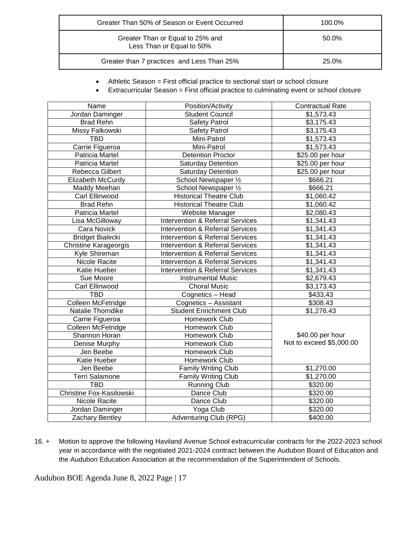| Greater Than 50% of Season or Event Occurred                  | 100.0% |
|---------------------------------------------------------------|--------|
| Greater Than or Equal to 25% and<br>Less Than or Equal to 50% | 50.0%  |
| Greater than 7 practices and Less Than 25%                    | 25.0%  |

- Athletic Season = First official practice to sectional start or school closure
- Extracurricular Season = First official practice to culminating event or school closure

| Name                     | Position/Activity                           | <b>Contractual Rate</b>  |
|--------------------------|---------------------------------------------|--------------------------|
| Jordan Daminger          | <b>Student Council</b>                      | \$1,573.43               |
| <b>Brad Rehn</b>         | <b>Safety Patrol</b>                        | \$3,175.43               |
| Missy Falkowski          | <b>Safety Patrol</b>                        | \$3,175.43               |
| <b>TBD</b>               | Mini-Patrol                                 | \$1,573.43               |
| Carrie Figueroa          | Mini-Patrol                                 | \$1,573.43               |
| Patricia Martel          | <b>Detention Proctor</b>                    | \$25.00 per hour         |
| Patricia Martel          | <b>Saturday Detention</b>                   | \$25.00 per hour         |
| Rebecca Gilbert          | <b>Saturday Detention</b>                   | $$25.00$ per hour        |
| Elizabeth McCurdy        | School Newspaper 1/2                        | \$666.21                 |
| Maddy Meehan             | School Newspaper 1/2                        | \$666.21                 |
| Carl Ellinwood           | <b>Historical Theatre Club</b>              | \$1,060.42               |
| <b>Brad Rehn</b>         | <b>Historical Theatre Club</b>              | \$1,060.42               |
| Patricia Martel          | Website Manager                             | \$2,080.43               |
| Lisa McGilloway          | <b>Intervention &amp; Referral Services</b> | \$1,341.43               |
| Cara Novick              | <b>Intervention &amp; Referral Services</b> | \$1,341.43               |
| <b>Bridget Bialecki</b>  | <b>Intervention &amp; Referral Services</b> | \$1,341.43               |
| Christine Karageorgis    | <b>Intervention &amp; Referral Services</b> | \$1,341.43               |
| Kyle Shireman            | <b>Intervention &amp; Referral Services</b> | \$1,341.43               |
| Nicole Racite            | <b>Intervention &amp; Referral Services</b> | \$1,341.43               |
| Katie Hueber             | <b>Intervention &amp; Referral Services</b> | $\overline{31}, 341.43$  |
| Sue Moore                | <b>Instrumental Music</b>                   | \$2,679.43               |
| Carl Ellinwood           | <b>Choral Music</b>                         | \$3,173.43               |
| <b>TBD</b>               | Cognetics - Head                            | \$433,43                 |
| Colleen McFetridge       | Cognetics - Assistant                       | \$308.43                 |
| Natalie Thorndike        | <b>Student Enrichment Club</b>              | \$1,276.43               |
| Carrie Figueroa          | Homework Club                               |                          |
| Colleen McFetridge       | Homework Club                               |                          |
| Shannon Horan            | Homework Club                               | \$40.00 per hour         |
| Denise Murphy            | Homework Club                               | Not to exceed \$5,000.00 |
| Jen Beebe                | Homework Club                               |                          |
| Katie Hueber             | Homework Club                               |                          |
| Jen Beebe                | Family Writing Club                         | \$1,270.00               |
| Terri Salamone           | Family Writing Club                         | \$1,270.00               |
| <b>TBD</b>               | <b>Running Club</b>                         | \$320.00                 |
| Christine Fox-Kasilowski | Dance Club                                  | \$320.00                 |
| Nicole Racite            | Dance Club                                  | \$320.00                 |
| Jordan Daminger          | Yoga Club                                   | \$320.00                 |
| Zachary Bentley          | Adventuring Club (RPG)                      | \$400.00                 |

16. + Motion to approve the following Haviland Avenue School extracurricular contracts for the 2022-2023 school year in accordance with the negotiated 2021-2024 contract between the Audubon Board of Education and the Audubon Education Association at the recommendation of the Superintendent of Schools.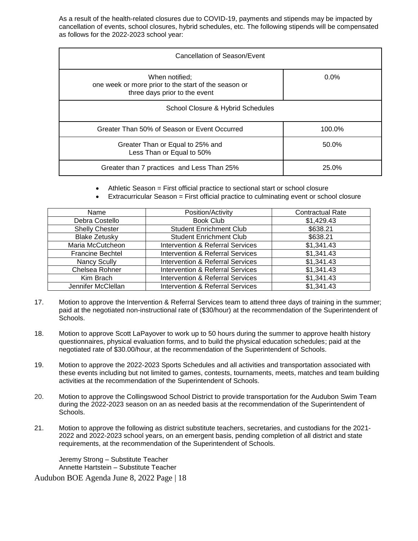As a result of the health-related closures due to COVID-19, payments and stipends may be impacted by cancellation of events, school closures, hybrid schedules, etc. The following stipends will be compensated as follows for the 2022-2023 school year:

| Cancellation of Season/Event                                                                            |         |  |
|---------------------------------------------------------------------------------------------------------|---------|--|
| When notified;<br>one week or more prior to the start of the season or<br>three days prior to the event | $0.0\%$ |  |
| School Closure & Hybrid Schedules                                                                       |         |  |
| Greater Than 50% of Season or Event Occurred                                                            | 100.0%  |  |
| Greater Than or Equal to 25% and<br>Less Than or Equal to 50%                                           | 50.0%   |  |
| Greater than 7 practices and Less Than 25%                                                              | 25.0%   |  |

- Athletic Season = First official practice to sectional start or school closure
- Extracurricular Season = First official practice to culminating event or school closure

| Name                    | Position/Activity                           | <b>Contractual Rate</b> |
|-------------------------|---------------------------------------------|-------------------------|
| Debra Costello          | <b>Book Club</b>                            | \$1,429.43              |
| <b>Shelly Chester</b>   | <b>Student Enrichment Club</b>              | \$638.21                |
| <b>Blake Zetusky</b>    | <b>Student Enrichment Club</b>              | \$638.21                |
| Maria McCutcheon        | <b>Intervention &amp; Referral Services</b> | \$1,341.43              |
| <b>Francine Bechtel</b> | <b>Intervention &amp; Referral Services</b> | \$1,341.43              |
| <b>Nancy Scully</b>     | <b>Intervention &amp; Referral Services</b> | \$1,341.43              |
| Chelsea Rohner          | <b>Intervention &amp; Referral Services</b> | \$1,341.43              |
| Kim Brach               | <b>Intervention &amp; Referral Services</b> | \$1,341.43              |
| Jennifer McClellan      | <b>Intervention &amp; Referral Services</b> | \$1,341.43              |

- 17. Motion to approve the Intervention & Referral Services team to attend three days of training in the summer; paid at the negotiated non-instructional rate of (\$30/hour) at the recommendation of the Superintendent of Schools.
- 18. Motion to approve Scott LaPayover to work up to 50 hours during the summer to approve health history questionnaires, physical evaluation forms, and to build the physical education schedules; paid at the negotiated rate of \$30.00/hour, at the recommendation of the Superintendent of Schools.
- 19. Motion to approve the 2022-2023 Sports Schedules and all activities and transportation associated with these events including but not limited to games, contests, tournaments, meets, matches and team building activities at the recommendation of the Superintendent of Schools.
- 20. Motion to approve the Collingswood School District to provide transportation for the Audubon Swim Team during the 2022-2023 season on an as needed basis at the recommendation of the Superintendent of Schools.
- 21. Motion to approve the following as district substitute teachers, secretaries, and custodians for the 2021- 2022 and 2022-2023 school years, on an emergent basis, pending completion of all district and state requirements, at the recommendation of the Superintendent of Schools.

Jeremy Strong – Substitute Teacher Annette Hartstein – Substitute Teacher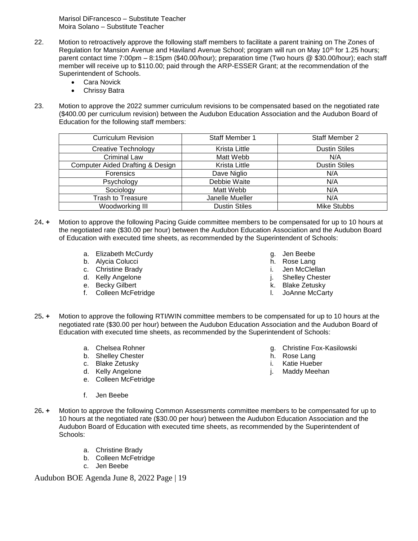Marisol DiFrancesco – Substitute Teacher Moira Solano – Substitute Teacher

- 22. Motion to retroactively approve the following staff members to facilitate a parent training on The Zones of Regulation for Mansion Avenue and Haviland Avenue School; program will run on May 10<sup>th</sup> for 1.25 hours; parent contact time 7:00pm – 8:15pm (\$40.00/hour); preparation time (Two hours @ \$30.00/hour); each staff member will receive up to \$110.00; paid through the ARP-ESSER Grant; at the recommendation of the Superintendent of Schools.
	- Cara Novick
	- Chrissy Batra
- 23. Motion to approve the 2022 summer curriculum revisions to be compensated based on the negotiated rate (\$400.00 per curriculum revision) between the Audubon Education Association and the Audubon Board of Education for the following staff members:

| <b>Curriculum Revision</b>                  | Staff Member 1       | <b>Staff Member 2</b> |
|---------------------------------------------|----------------------|-----------------------|
| <b>Creative Technology</b>                  | Krista Little        | <b>Dustin Stiles</b>  |
| <b>Criminal Law</b>                         | Matt Webb            | N/A                   |
| <b>Computer Aided Drafting &amp; Design</b> | Krista Little        | <b>Dustin Stiles</b>  |
| <b>Forensics</b>                            | Dave Niglio          | N/A                   |
| Psychology                                  | Debbie Waite         | N/A                   |
| Sociology                                   | Matt Webb            | N/A                   |
| <b>Trash to Treasure</b>                    | Janelle Mueller      | N/A                   |
| Woodworking III                             | <b>Dustin Stiles</b> | <b>Mike Stubbs</b>    |

- 24**. +** Motion to approve the following Pacing Guide committee members to be compensated for up to 10 hours at the negotiated rate (\$30.00 per hour) between the Audubon Education Association and the Audubon Board of Education with executed time sheets, as recommended by the Superintendent of Schools:
	- a. Elizabeth McCurdy
	- b. Alycia Colucci
	- c. Christine Brady
	- d. Kelly Angelone
	- e. Becky Gilbert
	- f. Colleen McFetridge
- g. Jen Beebe
- h. Rose Lang
- i. Jen McClellan
- j. Shelley Chester
- k. Blake Zetusky
- l. JoAnne McCarty
- 25**. +** Motion to approve the following RTI/WIN committee members to be compensated for up to 10 hours at the negotiated rate (\$30.00 per hour) between the Audubon Education Association and the Audubon Board of Education with executed time sheets, as recommended by the Superintendent of Schools:
	- a. Chelsea Rohner
	- b. Shelley Chester
	- c. Blake Zetusky
	- d. Kelly Angelone
	- e. Colleen McFetridge
- g. Christine Fox-Kasilowski
- h. Rose Lang
- i. Katie Hueber
- j. Maddy Meehan

- f. Jen Beebe
- 26**. +** Motion to approve the following Common Assessments committee members to be compensated for up to 10 hours at the negotiated rate (\$30.00 per hour) between the Audubon Education Association and the Audubon Board of Education with executed time sheets, as recommended by the Superintendent of Schools:
	- a. Christine Brady
	- b. Colleen McFetridge
	- c. Jen Beebe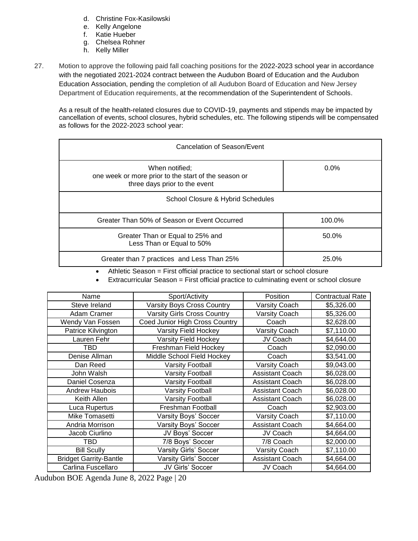- d. Christine Fox-Kasilowski
- e. Kelly Angelone
- f. Katie Hueber
- g. Chelsea Rohner
- h. Kelly Miller
- 27. Motion to approve the following paid fall coaching positions for the 2022-2023 school year in accordance with the negotiated 2021-2024 contract between the Audubon Board of Education and the Audubon Education Association, pending the completion of all Audubon Board of Education and New Jersey Department of Education requirements, at the recommendation of the Superintendent of Schools.

As a result of the health-related closures due to COVID-19, payments and stipends may be impacted by cancellation of events, school closures, hybrid schedules, etc. The following stipends will be compensated as follows for the 2022-2023 school year:

| Cancelation of Season/Event                                                                             |         |  |
|---------------------------------------------------------------------------------------------------------|---------|--|
| When notified;<br>one week or more prior to the start of the season or<br>three days prior to the event | $0.0\%$ |  |
| School Closure & Hybrid Schedules                                                                       |         |  |
| Greater Than 50% of Season or Event Occurred                                                            | 100.0%  |  |
| Greater Than or Equal to 25% and<br>Less Than or Equal to 50%                                           | 50.0%   |  |
| Greater than 7 practices and Less Than 25%                                                              | 25.0%   |  |

Athletic Season = First official practice to sectional start or school closure

Extracurricular Season = First official practice to culminating event or school closure

| Name                          | Sport/Activity                     | Position               | <b>Contractual Rate</b> |
|-------------------------------|------------------------------------|------------------------|-------------------------|
| Steve Ireland                 | <b>Varsity Boys Cross Country</b>  | Varsity Coach          | \$5,326.00              |
| Adam Cramer                   | <b>Varsity Girls Cross Country</b> | <b>Varsity Coach</b>   | \$5,326.00              |
| Wendy Van Fossen              | Coed Junior High Cross Country     | Coach                  | \$2,628.00              |
| Patrice Kilvington            | Varsity Field Hockey               | <b>Varsity Coach</b>   | \$7,110.00              |
| Lauren Fehr                   | Varsity Field Hockey               | JV Coach               | \$4,644.00              |
| TBD                           | Freshman Field Hockey              | Coach                  | \$2,090.00              |
| Denise Allman                 | Middle School Field Hockey         | Coach                  | \$3,541.00              |
| Dan Reed                      | <b>Varsity Football</b>            | Varsity Coach          | \$9,043.00              |
| John Walsh                    | <b>Varsity Football</b>            | <b>Assistant Coach</b> | \$6,028.00              |
| Daniel Cosenza                | <b>Varsity Football</b>            | <b>Assistant Coach</b> | \$6,028.00              |
| <b>Andrew Haubois</b>         | <b>Varsity Football</b>            | <b>Assistant Coach</b> | \$6,028.00              |
| Keith Allen                   | <b>Varsity Football</b>            | <b>Assistant Coach</b> | \$6,028.00              |
| Luca Rupertus                 | Freshman Football                  | Coach                  | \$2,903.00              |
| Mike Tomasetti                | Varsity Boys' Soccer               | Varsity Coach          | \$7,110.00              |
| Andria Morrison               | Varsity Boys' Soccer               | <b>Assistant Coach</b> | \$4,664.00              |
| Jacob Ciurlino                | JV Boys' Soccer                    | JV Coach               | \$4,664.00              |
| TBD                           | 7/8 Boys' Soccer                   | 7/8 Coach              | \$2,000.00              |
| <b>Bill Scully</b>            | Varsity Girls' Soccer              | <b>Varsity Coach</b>   | \$7,110.00              |
| <b>Bridget Garrity-Bantle</b> | Varsity Girls' Soccer              | <b>Assistant Coach</b> | \$4,664.00              |
| Carlina Fuscellaro            | JV Girls' Soccer                   | JV Coach               | \$4,664.00              |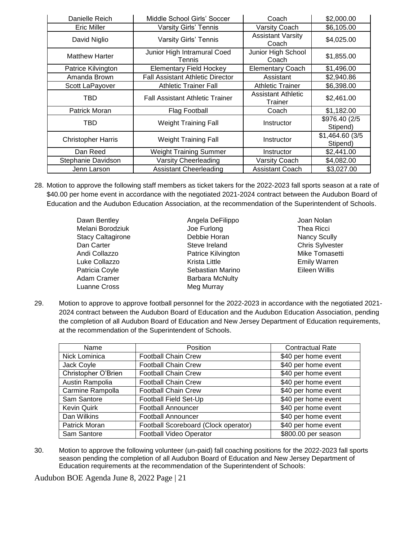| Danielle Reich            | Middle School Girls' Soccer             | Coach                                | \$2,000.00                  |
|---------------------------|-----------------------------------------|--------------------------------------|-----------------------------|
| <b>Eric Miller</b>        | Varsity Girls' Tennis                   | Varsity Coach                        | \$6,105.00                  |
| David Niglio              | <b>Varsity Girls' Tennis</b>            | <b>Assistant Varsity</b><br>Coach    | \$4,025.00                  |
| <b>Matthew Harter</b>     | Junior High Intramural Coed<br>Tennis   | Junior High School<br>Coach          | \$1,855.00                  |
| Patrice Kilvington        | <b>Elementary Field Hockey</b>          | <b>Elementary Coach</b>              | \$1,496.00                  |
| Amanda Brown              | <b>Fall Assistant Athletic Director</b> | Assistant                            | \$2,940.86                  |
| Scott LaPayover           | <b>Athletic Trainer Fall</b>            | <b>Athletic Trainer</b>              | \$6,398.00                  |
| TBD                       | <b>Fall Assistant Athletic Trainer</b>  | <b>Assistant Athletic</b><br>Trainer | \$2,461.00                  |
| Patrick Moran             | Flag Football                           | Coach                                | \$1,182.00                  |
| TBD                       | <b>Weight Training Fall</b>             | Instructor                           | \$976.40 (2/5<br>Stipend)   |
| <b>Christopher Harris</b> | <b>Weight Training Fall</b>             | Instructor                           | \$1,464.60 (3/5<br>Stipend) |
| Dan Reed                  | <b>Weight Training Summer</b>           | Instructor                           | \$2,441.00                  |
| Stephanie Davidson        | Varsity Cheerleading                    | <b>Varsity Coach</b>                 | \$4,082.00                  |
| Jenn Larson               | <b>Assistant Cheerleading</b>           | <b>Assistant Coach</b>               | \$3,027.00                  |

- 28. Motion to approve the following staff members as ticket takers for the 2022-2023 fall sports season at a rate of \$40.00 per home event in accordance with the negotiated 2021-2024 contract between the Audubon Board of Education and the Audubon Education Association, at the recommendation of the Superintendent of Schools.
	- Dawn Bentley Melani Borodziuk Stacy Caltagirone Dan Carter Andi Collazzo Luke Collazzo Patricia Coyle Adam Cramer Luanne Cross
- Angela DeFilippo Joe Furlong Debbie Horan Steve Ireland Patrice Kilvington Krista Little Sebastian Marino Barbara McNulty Meg Murray
- Joan Nolan Thea Ricci Nancy Scully Chris Sylvester Mike Tomasetti Emily Warren Eileen Willis
- 29. Motion to approve to approve football personnel for the 2022-2023 in accordance with the negotiated 2021- 2024 contract between the Audubon Board of Education and the Audubon Education Association, pending the completion of all Audubon Board of Education and New Jersey Department of Education requirements, at the recommendation of the Superintendent of Schools.

| Name                | Position                             | <b>Contractual Rate</b> |
|---------------------|--------------------------------------|-------------------------|
| Nick Lominica       | <b>Football Chain Crew</b>           | \$40 per home event     |
| Jack Coyle          | <b>Football Chain Crew</b>           | \$40 per home event     |
| Christopher O'Brien | <b>Football Chain Crew</b>           | \$40 per home event     |
| Austin Rampolia     | <b>Football Chain Crew</b>           | \$40 per home event     |
| Carmine Rampolla    | <b>Football Chain Crew</b>           | \$40 per home event     |
| Sam Santore         | Football Field Set-Up                | \$40 per home event     |
| <b>Kevin Quirk</b>  | <b>Football Announcer</b>            | \$40 per home event     |
| Dan Wilkins         | <b>Football Announcer</b>            | \$40 per home event     |
| Patrick Moran       | Football Scoreboard (Clock operator) | \$40 per home event     |
| Sam Santore         | Football Video Operator              | \$800.00 per season     |

30. Motion to approve the following volunteer (un-paid) fall coaching positions for the 2022-2023 fall sports season pending the completion of all Audubon Board of Education and New Jersey Department of Education requirements at the recommendation of the Superintendent of Schools: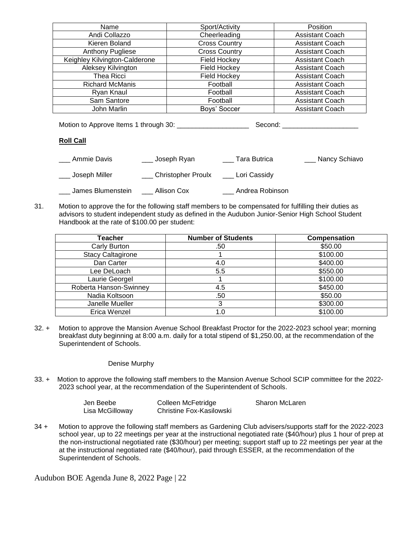| Name                          | Sport/Activity       | Position               |
|-------------------------------|----------------------|------------------------|
| Andi Collazzo                 | Cheerleading         | <b>Assistant Coach</b> |
| Kieren Boland                 | <b>Cross Country</b> | <b>Assistant Coach</b> |
| Anthony Pugliese              | <b>Cross Country</b> | <b>Assistant Coach</b> |
| Keighley Kilvington-Calderone | <b>Field Hockey</b>  | <b>Assistant Coach</b> |
| Aleksey Kilvington            | <b>Field Hockey</b>  | <b>Assistant Coach</b> |
| Thea Ricci                    | <b>Field Hockey</b>  | <b>Assistant Coach</b> |
| <b>Richard McManis</b>        | Football             | <b>Assistant Coach</b> |
| Ryan Knaul                    | Football             | <b>Assistant Coach</b> |
| Sam Santore                   | Football             | <b>Assistant Coach</b> |
| John Marlin                   | Boys' Soccer         | <b>Assistant Coach</b> |

Motion to Approve Items 1 through 30: \_\_\_\_\_\_\_\_\_\_\_\_\_\_\_\_\_\_\_ Second: \_\_\_\_\_\_\_\_\_\_\_\_\_\_\_\_\_\_\_\_

# **Roll Call**

| Ammie Davis       | Joseph Ryan        | Tara Butrica    | _ Nancy Schiavo |
|-------------------|--------------------|-----------------|-----------------|
| , Joseph Miller   | Christopher Proulx | _ Lori Cassidy  |                 |
| James Blumenstein | Allison Cox        | Andrea Robinson |                 |

31. Motion to approve the for the following staff members to be compensated for fulfilling their duties as advisors to student independent study as defined in the Audubon Junior-Senior High School Student Handbook at the rate of \$100.00 per student:

| Teacher                  | <b>Number of Students</b> | <b>Compensation</b> |
|--------------------------|---------------------------|---------------------|
| Carly Burton             | .50                       | \$50.00             |
| <b>Stacy Caltagirone</b> |                           | \$100.00            |
| Dan Carter               | 4.0                       | \$400.00            |
| Lee DeLoach              | 5.5                       | \$550.00            |
| Laurie Georgel           |                           | \$100.00            |
| Roberta Hanson-Swinney   | 4.5                       | \$450.00            |
| Nadia Koltsoon           | .50                       | \$50.00             |
| Janelle Mueller          |                           | \$300.00            |
| Erica Wenzel             | 1.0                       | \$100.00            |

32. + Motion to approve the Mansion Avenue School Breakfast Proctor for the 2022-2023 school year; morning breakfast duty beginning at 8:00 a.m. daily for a total stipend of \$1,250.00, at the recommendation of the Superintendent of Schools.

#### Denise Murphy

33. + Motion to approve the following staff members to the Mansion Avenue School SCIP committee for the 2022- 2023 school year, at the recommendation of the Superintendent of Schools.

| Jen Beebe       | Colleen McFetridge       | <b>Sharon McLaren</b> |
|-----------------|--------------------------|-----------------------|
| Lisa McGilloway | Christine Fox-Kasilowski |                       |

34 + Motion to approve the following staff members as Gardening Club advisers/supports staff for the 2022-2023 school year, up to 22 meetings per year at the instructional negotiated rate (\$40/hour) plus 1 hour of prep at the non-instructional negotiated rate (\$30/hour) per meeting; support staff up to 22 meetings per year at the at the instructional negotiated rate (\$40/hour), paid through ESSER, at the recommendation of the Superintendent of Schools.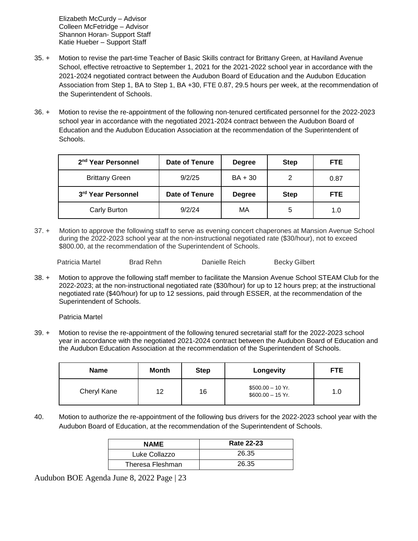Elizabeth McCurdy – Advisor Colleen McFetridge – Advisor Shannon Horan- Support Staff Katie Hueber – Support Staff

- 35. + Motion to revise the part-time Teacher of Basic Skills contract for Brittany Green, at Haviland Avenue School, effective retroactive to September 1, 2021 for the 2021-2022 school year in accordance with the 2021-2024 negotiated contract between the Audubon Board of Education and the Audubon Education Association from Step 1, BA to Step 1, BA +30, FTE 0.87, 29.5 hours per week, at the recommendation of the Superintendent of Schools.
- 36. + Motion to revise the re-appointment of the following non-tenured certificated personnel for the 2022-2023 school year in accordance with the negotiated 2021-2024 contract between the Audubon Board of Education and the Audubon Education Association at the recommendation of the Superintendent of Schools.

| 2 <sup>nd</sup> Year Personnel | Date of Tenure | <b>Degree</b> | <b>Step</b> | FTE. |
|--------------------------------|----------------|---------------|-------------|------|
| <b>Brittany Green</b>          | 9/2/25         | BA + 30       | 2           | 0.87 |
| 3rd Year Personnel             | Date of Tenure | <b>Degree</b> | <b>Step</b> | FTE. |
| Carly Burton                   | 9/2/24         | МA            | 5           | 1.0  |

37. + Motion to approve the following staff to serve as evening concert chaperones at Mansion Avenue School during the 2022-2023 school year at the non-instructional negotiated rate (\$30/hour), not to exceed \$800.00, at the recommendation of the Superintendent of Schools.

Patricia Martel Brad Rehn Banielle Reich Becky Gilbert

38. + Motion to approve the following staff member to facilitate the Mansion Avenue School STEAM Club for the 2022-2023; at the non-instructional negotiated rate (\$30/hour) for up to 12 hours prep; at the instructional negotiated rate (\$40/hour) for up to 12 sessions, paid through ESSER, at the recommendation of the Superintendent of Schools.

Patricia Martel

39. + Motion to revise the re-appointment of the following tenured secretarial staff for the 2022-2023 school year in accordance with the negotiated 2021-2024 contract between the Audubon Board of Education and the Audubon Education Association at the recommendation of the Superintendent of Schools.

| <b>Name</b> | Month | <b>Step</b> | Longevity                                | <b>FTE</b> |
|-------------|-------|-------------|------------------------------------------|------------|
| Cheryl Kane | 12    | 16          | $$500.00 - 10$ Yr.<br>$$600.00 - 15$ Yr. | 1.0        |

40. Motion to authorize the re-appointment of the following bus drivers for the 2022-2023 school year with the Audubon Board of Education, at the recommendation of the Superintendent of Schools.

| <b>NAME</b>      | <b>Rate 22-23</b> |
|------------------|-------------------|
| Luke Collazzo    | 26.35             |
| Theresa Fleshman | 26.35             |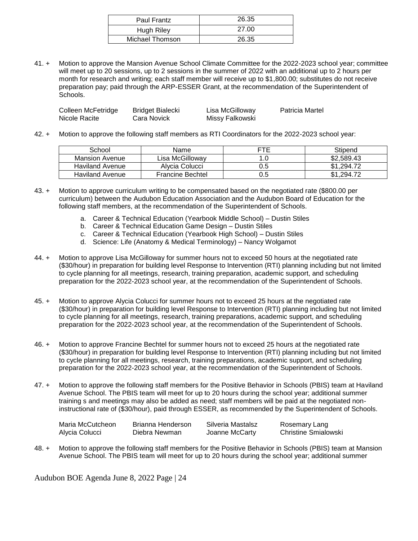| Paul Frantz     | 26.35 |
|-----------------|-------|
| Hugh Riley      | 27.00 |
| Michael Thomson | 26.35 |

41. + Motion to approve the Mansion Avenue School Climate Committee for the 2022-2023 school year; committee will meet up to 20 sessions, up to 2 sessions in the summer of 2022 with an additional up to 2 hours per month for research and writing; each staff member will receive up to \$1,800.00; substitutes do not receive preparation pay; paid through the ARP-ESSER Grant, at the recommendation of the Superintendent of Schools.

| Colleen McFetridge | Bridget Bialecki | Lisa McGilloway | Patricia Martel |
|--------------------|------------------|-----------------|-----------------|
| Nicole Racite      | Cara Novick      | Missy Falkowski |                 |

42. + Motion to approve the following staff members as RTI Coordinators for the 2022-2023 school year:

| School                 | Name                    | FTF | Stipend         |
|------------------------|-------------------------|-----|-----------------|
| Mansion Avenue         | Lisa McGilloway         |     | \$2,589.43      |
| Haviland Avenue        | Alvcia Colucci          | 0.5 | \$1.294.72      |
| <b>Haviland Avenue</b> | <b>Francine Bechtel</b> | 0.5 | .294.72<br>\$1. |

- 43. + Motion to approve curriculum writing to be compensated based on the negotiated rate (\$800.00 per curriculum) between the Audubon Education Association and the Audubon Board of Education for the following staff members, at the recommendation of the Superintendent of Schools.
	- a. Career & Technical Education (Yearbook Middle School) Dustin Stiles
	- b. Career & Technical Education Game Design Dustin Stiles
	- c. Career & Technical Education (Yearbook High School) Dustin Stiles
	- d. Science: Life (Anatomy & Medical Terminology) Nancy Wolgamot
- 44. + Motion to approve Lisa McGilloway for summer hours not to exceed 50 hours at the negotiated rate (\$30/hour) in preparation for building level Response to Intervention (RTI) planning including but not limited to cycle planning for all meetings, research, training preparation, academic support, and scheduling preparation for the 2022-2023 school year, at the recommendation of the Superintendent of Schools.
- 45. + Motion to approve Alycia Colucci for summer hours not to exceed 25 hours at the negotiated rate (\$30/hour) in preparation for building level Response to Intervention (RTI) planning including but not limited to cycle planning for all meetings, research, training preparations, academic support, and scheduling preparation for the 2022-2023 school year, at the recommendation of the Superintendent of Schools.
- 46. + Motion to approve Francine Bechtel for summer hours not to exceed 25 hours at the negotiated rate (\$30/hour) in preparation for building level Response to Intervention (RTI) planning including but not limited to cycle planning for all meetings, research, training preparations, academic support, and scheduling preparation for the 2022-2023 school year, at the recommendation of the Superintendent of Schools.
- 47. + Motion to approve the following staff members for the Positive Behavior in Schools (PBIS) team at Haviland Avenue School. The PBIS team will meet for up to 20 hours during the school year; additional summer training s and meetings may also be added as need; staff members will be paid at the negotiated noninstructional rate of (\$30/hour), paid through ESSER, as recommended by the Superintendent of Schools.

| Maria McCutcheon | Brianna Henderson | Silveria Mastalsz | Rosemary Lang        |
|------------------|-------------------|-------------------|----------------------|
| Alycia Colucci   | Diebra Newman     | Joanne McCarty    | Christine Smialowski |

48. + Motion to approve the following staff members for the Positive Behavior in Schools (PBIS) team at Mansion Avenue School. The PBIS team will meet for up to 20 hours during the school year; additional summer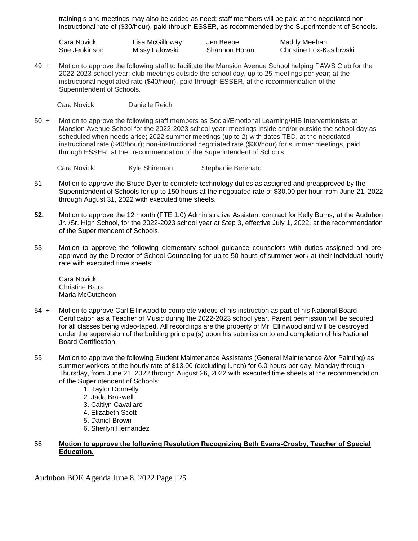training s and meetings may also be added as need; staff members will be paid at the negotiated noninstructional rate of (\$30/hour), paid through ESSER, as recommended by the Superintendent of Schools.

Cara Novick Lisa McGilloway Jen Beebe Maddy Meehan Sue Jenkinson Missy Falowski Shannon Horan Christine Fox-Kasilowski

49. + Motion to approve the following staff to facilitate the Mansion Avenue School helping PAWS Club for the 2022-2023 school year; club meetings outside the school day, up to 25 meetings per year; at the instructional negotiated rate (\$40/hour), paid through ESSER, at the recommendation of the Superintendent of Schools.

Cara Novick Danielle Reich

50. + Motion to approve the following staff members as Social/Emotional Learning/HIB Interventionists at Mansion Avenue School for the 2022-2023 school year; meetings inside and/or outside the school day as scheduled when needs arise; 2022 summer meetings (up to 2) with dates TBD, at the negotiated instructional rate (\$40/hour); non-instructional negotiated rate (\$30/hour) for summer meetings, paid through ESSER, at the recommendation of the Superintendent of Schools.

Cara Novick Kyle Shireman Stephanie Berenato

- 51. Motion to approve the Bruce Dyer to complete technology duties as assigned and preapproved by the Superintendent of Schools for up to 150 hours at the negotiated rate of \$30.00 per hour from June 21, 2022 through August 31, 2022 with executed time sheets.
- **52.** Motion to approve the 12 month (FTE 1.0) Administrative Assistant contract for Kelly Burns, at the Audubon Jr. /Sr. High School, for the 2022-2023 school year at Step 3, effective July 1, 2022, at the recommendation of the Superintendent of Schools.
- 53. Motion to approve the following elementary school guidance counselors with duties assigned and preapproved by the Director of School Counseling for up to 50 hours of summer work at their individual hourly rate with executed time sheets:

Cara Novick Christine Batra Maria McCutcheon

- 54. + Motion to approve Carl Ellinwood to complete videos of his instruction as part of his National Board Certification as a Teacher of Music during the 2022-2023 school year. Parent permission will be secured for all classes being video-taped. All recordings are the property of Mr. Ellinwood and will be destroyed under the supervision of the building principal(s) upon his submission to and completion of his National Board Certification.
- 55. Motion to approve the following Student Maintenance Assistants (General Maintenance &/or Painting) as summer workers at the hourly rate of \$13.00 (excluding lunch) for 6.0 hours per day, Monday through Thursday, from June 21, 2022 through August 26, 2022 with executed time sheets at the recommendation of the Superintendent of Schools:
	- 1. Taylor Donnelly
	- 2. Jada Braswell
	- 3. Caitlyn Cavallaro
	- 4. Elizabeth Scott
	- 5. Daniel Brown
	- 6. Sherlyn Hernandez

# 56. **Motion to approve the following Resolution Recognizing Beth Evans-Crosby, Teacher of Special Education.**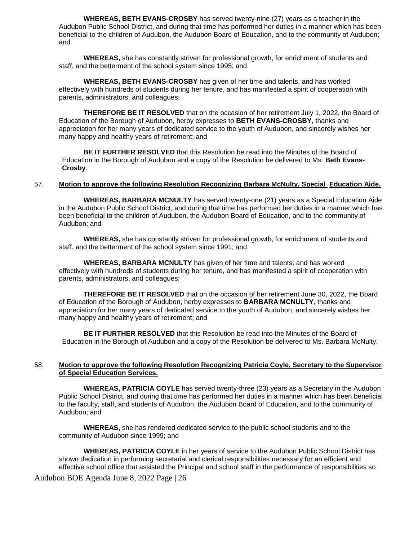**WHEREAS, BETH EVANS-CROSBY** has served twenty-nine (27) years as a teacher in the Audubon Public School District, and during that time has performed her duties in a manner which has been beneficial to the children of Audubon, the Audubon Board of Education, and to the community of Audubon; and

**WHEREAS,** she has constantly striven for professional growth, for enrichment of students and staff, and the betterment of the school system since 1995; and

**WHEREAS, BETH EVANS-CROSBY** has given of her time and talents, and has worked effectively with hundreds of students during her tenure, and has manifested a spirit of cooperation with parents, administrators, and colleagues;

**THEREFORE BE IT RESOLVED** that on the occasion of her retirement July 1, 2022, the Board of Education of the Borough of Audubon, herby expresses to **BETH EVANS-CROSBY**, thanks and appreciation for her many years of dedicated service to the youth of Audubon, and sincerely wishes her many happy and healthy years of retirement; and

**BE IT FURTHER RESOLVED** that this Resolution be read into the Minutes of the Board of Education in the Borough of Audubon and a copy of the Resolution be delivered to Ms. **Beth Evans-Crosby**.

#### 57. **Motion to approve the following Resolution Recognizing Barbara McNulty, Special Education Aide.**

**WHEREAS, BARBARA MCNULTY** has served twenty-one (21) years as a Special Education Aide in the Audubon Public School District, and during that time has performed her duties in a manner which has been beneficial to the children of Audubon, the Audubon Board of Education, and to the community of Audubon; and

**WHEREAS,** she has constantly striven for professional growth, for enrichment of students and staff, and the betterment of the school system since 1991; and

**WHEREAS, BARBARA MCNULTY** has given of her time and talents, and has worked effectively with hundreds of students during her tenure, and has manifested a spirit of cooperation with parents, administrators, and colleagues;

**THEREFORE BE IT RESOLVED** that on the occasion of her retirement June 30, 2022, the Board of Education of the Borough of Audubon, herby expresses to **BARBARA MCNULTY**, thanks and appreciation for her many years of dedicated service to the youth of Audubon, and sincerely wishes her many happy and healthy years of retirement; and

**BE IT FURTHER RESOLVED** that this Resolution be read into the Minutes of the Board of Education in the Borough of Audubon and a copy of the Resolution be delivered to Ms. Barbara McNulty.

#### 58. **Motion to approve the following Resolution Recognizing Patricia Coyle, Secretary to the Supervisor of Special Education Services.**

**WHEREAS, PATRICIA COYLE** has served twenty-three (23) years as a Secretary in the Audubon Public School District, and during that time has performed her duties in a manner which has been beneficial to the faculty, staff, and students of Audubon, the Audubon Board of Education, and to the community of Audubon; and

**WHEREAS,** she has rendered dedicated service to the public school students and to the community of Audubon since 1999; and

**WHEREAS, PATRICIA COYLE** in her years of service to the Audubon Public School District has shown dedication in performing secretarial and clerical responsibilities necessary for an efficient and effective school office that assisted the Principal and school staff in the performance of responsibilities so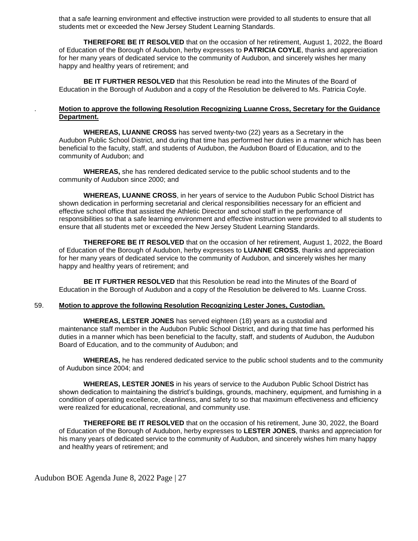that a safe learning environment and effective instruction were provided to all students to ensure that all students met or exceeded the New Jersey Student Learning Standards.

**THEREFORE BE IT RESOLVED** that on the occasion of her retirement, August 1, 2022, the Board of Education of the Borough of Audubon, herby expresses to **PATRICIA COYLE**, thanks and appreciation for her many years of dedicated service to the community of Audubon, and sincerely wishes her many happy and healthy years of retirement; and

**BE IT FURTHER RESOLVED** that this Resolution be read into the Minutes of the Board of Education in the Borough of Audubon and a copy of the Resolution be delivered to Ms. Patricia Coyle.

### . **Motion to approve the following Resolution Recognizing Luanne Cross, Secretary for the Guidance Department.**

**WHEREAS, LUANNE CROSS** has served twenty-two (22) years as a Secretary in the Audubon Public School District, and during that time has performed her duties in a manner which has been beneficial to the faculty, staff, and students of Audubon, the Audubon Board of Education, and to the community of Audubon; and

**WHEREAS,** she has rendered dedicated service to the public school students and to the community of Audubon since 2000; and

**WHEREAS, LUANNE CROSS**, in her years of service to the Audubon Public School District has shown dedication in performing secretarial and clerical responsibilities necessary for an efficient and effective school office that assisted the Athletic Director and school staff in the performance of responsibilities so that a safe learning environment and effective instruction were provided to all students to ensure that all students met or exceeded the New Jersey Student Learning Standards.

**THEREFORE BE IT RESOLVED** that on the occasion of her retirement, August 1, 2022, the Board of Education of the Borough of Audubon, herby expresses to **LUANNE CROSS**, thanks and appreciation for her many years of dedicated service to the community of Audubon, and sincerely wishes her many happy and healthy years of retirement; and

**BE IT FURTHER RESOLVED** that this Resolution be read into the Minutes of the Board of Education in the Borough of Audubon and a copy of the Resolution be delivered to Ms. Luanne Cross.

#### 59. **Motion to approve the following Resolution Recognizing Lester Jones, Custodian.**

**WHEREAS, LESTER JONES** has served eighteen (18) years as a custodial and maintenance staff member in the Audubon Public School District, and during that time has performed his duties in a manner which has been beneficial to the faculty, staff, and students of Audubon, the Audubon Board of Education, and to the community of Audubon; and

**WHEREAS,** he has rendered dedicated service to the public school students and to the community of Audubon since 2004; and

**WHEREAS, LESTER JONES** in his years of service to the Audubon Public School District has shown dedication to maintaining the district's buildings, grounds, machinery, equipment, and furnishing in a condition of operating excellence, cleanliness, and safety to so that maximum effectiveness and efficiency were realized for educational, recreational, and community use.

**THEREFORE BE IT RESOLVED** that on the occasion of his retirement, June 30, 2022, the Board of Education of the Borough of Audubon, herby expresses to **LESTER JONES**, thanks and appreciation for his many years of dedicated service to the community of Audubon, and sincerely wishes him many happy and healthy years of retirement; and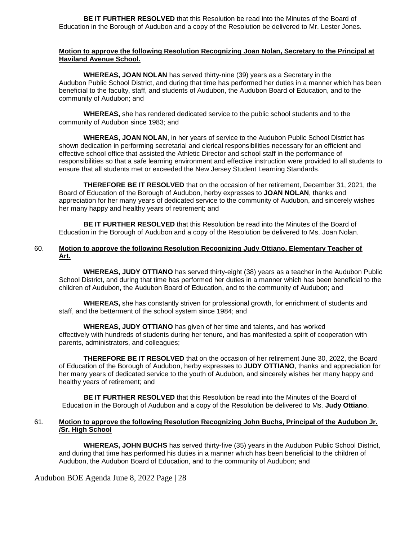**BE IT FURTHER RESOLVED** that this Resolution be read into the Minutes of the Board of Education in the Borough of Audubon and a copy of the Resolution be delivered to Mr. Lester Jones.

#### **Motion to approve the following Resolution Recognizing Joan Nolan, Secretary to the Principal at Haviland Avenue School.**

**WHEREAS, JOAN NOLAN** has served thirty-nine (39) years as a Secretary in the Audubon Public School District, and during that time has performed her duties in a manner which has been beneficial to the faculty, staff, and students of Audubon, the Audubon Board of Education, and to the community of Audubon; and

**WHEREAS,** she has rendered dedicated service to the public school students and to the community of Audubon since 1983; and

**WHEREAS, JOAN NOLAN**, in her years of service to the Audubon Public School District has shown dedication in performing secretarial and clerical responsibilities necessary for an efficient and effective school office that assisted the Athletic Director and school staff in the performance of responsibilities so that a safe learning environment and effective instruction were provided to all students to ensure that all students met or exceeded the New Jersey Student Learning Standards.

**THEREFORE BE IT RESOLVED** that on the occasion of her retirement, December 31, 2021, the Board of Education of the Borough of Audubon, herby expresses to **JOAN NOLAN**, thanks and appreciation for her many years of dedicated service to the community of Audubon, and sincerely wishes her many happy and healthy years of retirement; and

**BE IT FURTHER RESOLVED** that this Resolution be read into the Minutes of the Board of Education in the Borough of Audubon and a copy of the Resolution be delivered to Ms. Joan Nolan.

## 60. **Motion to approve the following Resolution Recognizing Judy Ottiano, Elementary Teacher of Art.**

**WHEREAS, JUDY OTTIANO** has served thirty-eight (38) years as a teacher in the Audubon Public School District, and during that time has performed her duties in a manner which has been beneficial to the children of Audubon, the Audubon Board of Education, and to the community of Audubon; and

**WHEREAS,** she has constantly striven for professional growth, for enrichment of students and staff, and the betterment of the school system since 1984; and

**WHEREAS, JUDY OTTIANO** has given of her time and talents, and has worked effectively with hundreds of students during her tenure, and has manifested a spirit of cooperation with parents, administrators, and colleagues;

**THEREFORE BE IT RESOLVED** that on the occasion of her retirement June 30, 2022, the Board of Education of the Borough of Audubon, herby expresses to **JUDY OTTIANO**, thanks and appreciation for her many years of dedicated service to the youth of Audubon, and sincerely wishes her many happy and healthy years of retirement; and

**BE IT FURTHER RESOLVED** that this Resolution be read into the Minutes of the Board of Education in the Borough of Audubon and a copy of the Resolution be delivered to Ms. **Judy Ottiano**.

#### 61. **Motion to approve the following Resolution Recognizing John Buchs, Principal of the Audubon Jr. /Sr. High School**

**WHEREAS, JOHN BUCHS** has served thirty-five (35) years in the Audubon Public School District, and during that time has performed his duties in a manner which has been beneficial to the children of Audubon, the Audubon Board of Education, and to the community of Audubon; and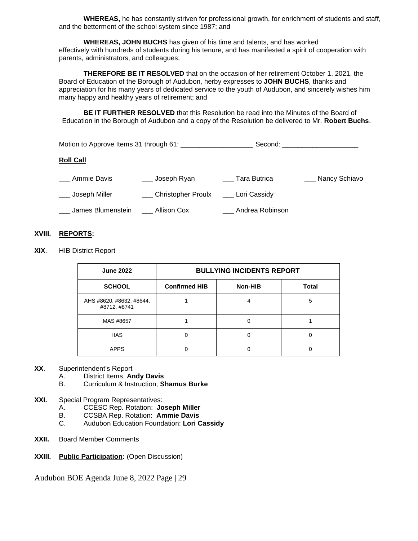**WHEREAS,** he has constantly striven for professional growth, for enrichment of students and staff, and the betterment of the school system since 1987; and

**WHEREAS, JOHN BUCHS** has given of his time and talents, and has worked effectively with hundreds of students during his tenure, and has manifested a spirit of cooperation with parents, administrators, and colleagues;

**THEREFORE BE IT RESOLVED** that on the occasion of her retirement October 1, 2021, the Board of Education of the Borough of Audubon, herby expresses to **JOHN BUCHS**, thanks and appreciation for his many years of dedicated service to the youth of Audubon, and sincerely wishes him many happy and healthy years of retirement; and

**BE IT FURTHER RESOLVED** that this Resolution be read into the Minutes of the Board of Education in the Borough of Audubon and a copy of the Resolution be delivered to Mr. **Robert Buchs**.

|                   | Motion to Approve Items 31 through 61: ________________ | Second:         |               |
|-------------------|---------------------------------------------------------|-----------------|---------------|
| <b>Roll Call</b>  |                                                         |                 |               |
| Ammie Davis       | ___ Joseph Ryan                                         | Tara Butrica    | Nancy Schiavo |
| Joseph Miller     | Christopher Proulx Lori Cassidy                         |                 |               |
| James Blumenstein | Allison Cox                                             | Andrea Robinson |               |

## **XVIII. REPORTS:**

**XIX**. HIB District Report

| <b>June 2022</b>                         | <b>BULLYING INCIDENTS REPORT</b> |         |              |  |
|------------------------------------------|----------------------------------|---------|--------------|--|
| <b>SCHOOL</b>                            | <b>Confirmed HIB</b>             | Non-HIB | <b>Total</b> |  |
| AHS #8620, #8632, #8644,<br>#8712, #8741 |                                  |         | 5            |  |
| MAS #8657                                |                                  |         |              |  |
| <b>HAS</b>                               |                                  |         |              |  |
| <b>APPS</b>                              |                                  |         |              |  |

#### **XX**. Superintendent's Report

- A. District Items, **Andy Davis** B. Curriculum & Instruction, **Shamus Burke**
- **XXI.** Special Program Representatives:
	- A. CCESC Rep. Rotation: **Joseph Miller**
	- B. CCSBA Rep. Rotation: **Ammie Davis**
	- C. Audubon Education Foundation: **Lori Cassidy**
- **XXII.** Board Member Comments
- **XXIII. Public Participation:** (Open Discussion)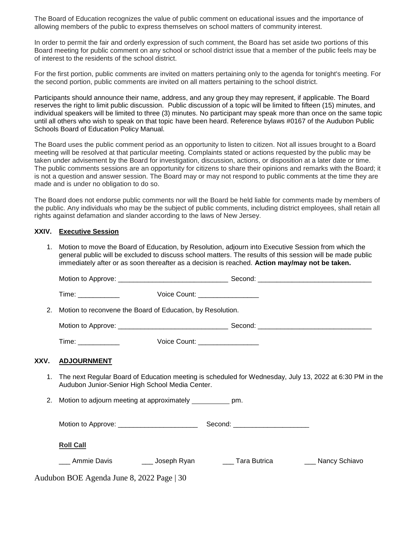The Board of Education recognizes the value of public comment on educational issues and the importance of allowing members of the public to express themselves on school matters of community interest.

In order to permit the fair and orderly expression of such comment, the Board has set aside two portions of this Board meeting for public comment on any school or school district issue that a member of the public feels may be of interest to the residents of the school district.

For the first portion, public comments are invited on matters pertaining only to the agenda for tonight's meeting. For the second portion, public comments are invited on all matters pertaining to the school district.

Participants should announce their name, address, and any group they may represent, if applicable. The Board reserves the right to limit public discussion. Public discussion of a topic will be limited to fifteen (15) minutes, and individual speakers will be limited to three (3) minutes. No participant may speak more than once on the same topic until all others who wish to speak on that topic have been heard. Reference bylaws #0167 of the Audubon Public Schools Board of Education Policy Manual.

The Board uses the public comment period as an opportunity to listen to citizen. Not all issues brought to a Board meeting will be resolved at that particular meeting. Complaints stated or actions requested by the public may be taken under advisement by the Board for investigation, discussion, actions, or disposition at a later date or time. The public comments sessions are an opportunity for citizens to share their opinions and remarks with the Board; it is not a question and answer session. The Board may or may not respond to public comments at the time they are made and is under no obligation to do so.

The Board does not endorse public comments nor will the Board be held liable for comments made by members of the public. Any individuals who may be the subject of public comments, including district employees, shall retain all rights against defamation and slander according to the laws of New Jersey.

#### **XXIV. Executive Session**

1. Motion to move the Board of Education, by Resolution, adjourn into Executive Session from which the general public will be excluded to discuss school matters. The results of this session will be made public immediately after or as soon thereafter as a decision is reached. **Action may/may not be taken.**

|      | 2. Motion to reconvene the Board of Education, by Resolution.                                                                                                 |                                 |  |                   |  |
|------|---------------------------------------------------------------------------------------------------------------------------------------------------------------|---------------------------------|--|-------------------|--|
|      |                                                                                                                                                               |                                 |  |                   |  |
|      | Time: _____________                                                                                                                                           | Voice Count: __________________ |  |                   |  |
| XXV. | <b>ADJOURNMENT</b>                                                                                                                                            |                                 |  |                   |  |
|      | 1. The next Regular Board of Education meeting is scheduled for Wednesday, July 13, 2022 at 6:30 PM in the<br>Audubon Junior-Senior High School Media Center. |                                 |  |                   |  |
|      | 2. Motion to adjourn meeting at approximately ____________ pm.                                                                                                |                                 |  |                   |  |
|      |                                                                                                                                                               |                                 |  |                   |  |
|      | <b>Roll Call</b>                                                                                                                                              |                                 |  |                   |  |
|      | ___ Ammie Davis      ___ Joseph Ryan      ___ Tara Butrica                                                                                                    |                                 |  | ___ Nancy Schiavo |  |
|      | Audubon BOE Agenda June 8, 2022 Page   30                                                                                                                     |                                 |  |                   |  |